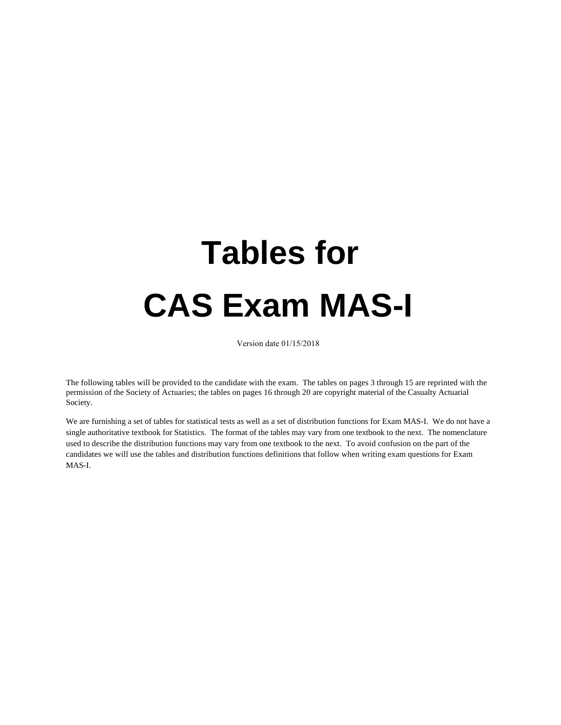# **Tables for CAS Exam MAS-I**

Version date 01/15/2018

The following tables will be provided to the candidate with the exam. The tables on pages 3 through 15 are reprinted with the permission of the Society of Actuaries; the tables on pages 16 through 20 are copyright material of the Casualty Actuarial Society.

We are furnishing a set of tables for statistical tests as well as a set of distribution functions for Exam MAS-I. We do not have a single authoritative textbook for Statistics. The format of the tables may vary from one textbook to the next. The nomenclature used to describe the distribution functions may vary from one textbook to the next. To avoid confusion on the part of the candidates we will use the tables and distribution functions definitions that follow when writing exam questions for Exam MAS-I.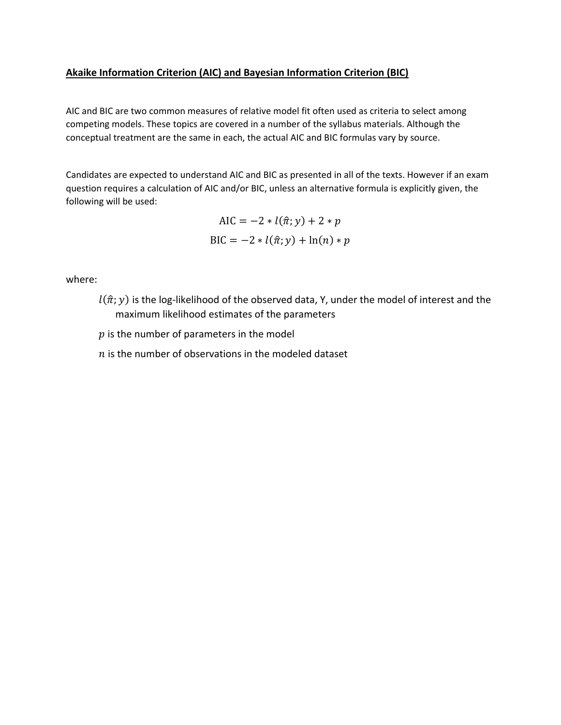#### **Akaike Information Criterion (AIC) and Bayesian Information Criterion (BIC)**

AIC and BIC are two common measures of relative model fit often used as criteria to select among competing models. These topics are covered in a number of the syllabus materials. Although the conceptual treatment are the same in each, the actual AIC and BIC formulas vary by source.

Candidates are expected to understand AIC and BIC as presented in all of the texts. However if an exam question requires a calculation of AIC and/or BIC, unless an alternative formula is explicitly given, the following will be used:

$$
AIC = -2 * l(\hat{\pi}; y) + 2 * p
$$
  
 
$$
BIC = -2 * l(\hat{\pi}; y) + \ln(n) * p
$$

where:

 $l(\hat{\pi}; y)$  is the log-likelihood of the observed data, Y, under the model of interest and the maximum likelihood estimates of the parameters

 $p$  is the number of parameters in the model

 $n$  is the number of observations in the modeled dataset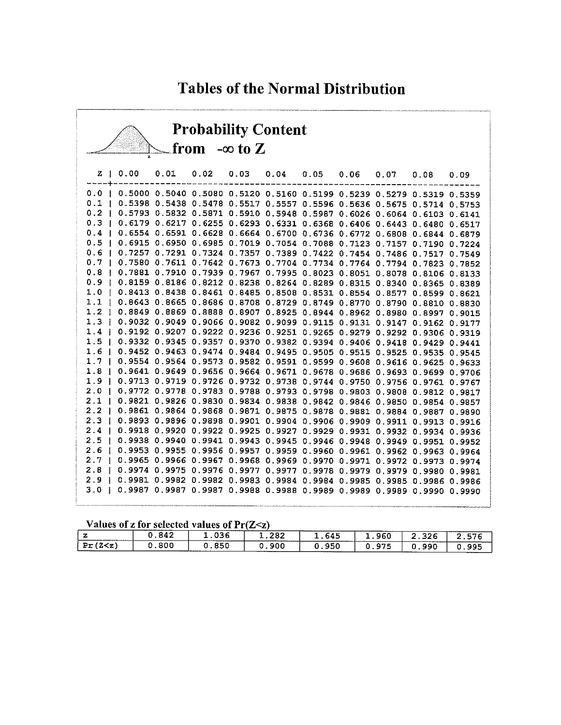## **Tables of the Normal Distribution**

| <b>Probability Content</b><br>from $-\infty$ to Z |                                                                                                                                                            |      |                                           |  |  |  |  |  |      |      |  |  |  |  |
|---------------------------------------------------|------------------------------------------------------------------------------------------------------------------------------------------------------------|------|-------------------------------------------|--|--|--|--|--|------|------|--|--|--|--|
|                                                   |                                                                                                                                                            |      |                                           |  |  |  |  |  |      |      |  |  |  |  |
| z                                                 | 0.00                                                                                                                                                       | 0.01 | $0.02$ $0.03$ $0.04$ $0.05$ $0.06$ $0.07$ |  |  |  |  |  | 0.08 | 0.09 |  |  |  |  |
|                                                   | 0.0   0.5000 0.5040 0.5080 0.5120 0.5160 0.5199 0.5239 0.5279 0.5319 0.5359                                                                                |      |                                           |  |  |  |  |  |      |      |  |  |  |  |
|                                                   | 0.1   0.5398 0.5438 0.5478 0.5517 0.5557 0.5596 0.5636 0.5675 0.5714 0.5753                                                                                |      |                                           |  |  |  |  |  |      |      |  |  |  |  |
|                                                   | 0.2   0.5793 0.5832 0.5871 0.5910 0.5948 0.5987 0.6026 0.6064 0.6103 0.6141                                                                                |      |                                           |  |  |  |  |  |      |      |  |  |  |  |
|                                                   | 0.3   0.6179 0.6217 0.6255 0.6293 0.6331 0.6368 0.6406 0.6443 0.6480 0.6517                                                                                |      |                                           |  |  |  |  |  |      |      |  |  |  |  |
|                                                   | 0.4   0.6554 0.6591 0.6628 0.6664 0.6700 0.6736 0.6772 0.6808 0.6844 0.6879                                                                                |      |                                           |  |  |  |  |  |      |      |  |  |  |  |
|                                                   | 0.5   0.6915 0.6950 0.6985 0.7019 0.7054 0.7088 0.7123 0.7157 0.7190 0.7224                                                                                |      |                                           |  |  |  |  |  |      |      |  |  |  |  |
|                                                   | 0.6   0.7257 0.7291 0.7324 0.7357 0.7389 0.7422 0.7454 0.7486 0.7517 0.7549                                                                                |      |                                           |  |  |  |  |  |      |      |  |  |  |  |
|                                                   | 0.7   0.7580 0.7611 0.7642 0.7673 0.7704 0.7734 0.7764 0.7794 0.7823 0.7852                                                                                |      |                                           |  |  |  |  |  |      |      |  |  |  |  |
|                                                   | 0.8   0.7881 0.7910 0.7939 0.7967 0.7995 0.8023 0.8051 0.8078 0.8106 0.8133                                                                                |      |                                           |  |  |  |  |  |      |      |  |  |  |  |
|                                                   | 0.9   0.8159 0.8186 0.8212 0.8238 0.8264 0.8289 0.8315 0.8340 0.8365 0.8389                                                                                |      |                                           |  |  |  |  |  |      |      |  |  |  |  |
|                                                   | 1.0   0.8413 0.8438 0.8461 0.8485 0.8508 0.8531 0.8554 0.8577 0.8599 0.8621                                                                                |      |                                           |  |  |  |  |  |      |      |  |  |  |  |
|                                                   | 1.1   0.8643 0.8665 0.8686 0.8708 0.8729 0.8749 0.8770 0.8790 0.8810 0.8830                                                                                |      |                                           |  |  |  |  |  |      |      |  |  |  |  |
|                                                   | 1.2   0.8849 0.8869 0.8888 0.8907 0.8925 0.8944 0.8962 0.8980 0.8997 0.9015                                                                                |      |                                           |  |  |  |  |  |      |      |  |  |  |  |
|                                                   | 1.3   0.9032 0.9049 0.9066 0.9082 0.9099 0.9115 0.9131 0.9147 0.9162 0.9177                                                                                |      |                                           |  |  |  |  |  |      |      |  |  |  |  |
|                                                   | 1.4   0.9192 0.9207 0.9222 0.9236 0.9251 0.9265 0.9279 0.9292 0.9306 0.9319                                                                                |      |                                           |  |  |  |  |  |      |      |  |  |  |  |
|                                                   | 1.5   0.9332 0.9345 0.9357 0.9370 0.9382 0.9394 0.9406 0.9418 0.9429 0.9441                                                                                |      |                                           |  |  |  |  |  |      |      |  |  |  |  |
|                                                   | 1.6   0.9452 0.9463 0.9474 0.9484 0.9495 0.9505 0.9515 0.9525 0.9535 0.9545                                                                                |      |                                           |  |  |  |  |  |      |      |  |  |  |  |
|                                                   | 1.7   0.9554 0.9564 0.9573 0.9582 0.9591 0.9599 0.9608 0.9616 0.9625 0.9633                                                                                |      |                                           |  |  |  |  |  |      |      |  |  |  |  |
|                                                   | 1.8   0.9641 0.9649 0.9656 0.9664 0.9671 0.9678 0.9686 0.9693 0.9699 0.9706                                                                                |      |                                           |  |  |  |  |  |      |      |  |  |  |  |
|                                                   | 1.9   0.9713 0.9719 0.9726 0.9732 0.9738 0.9744 0.9750 0.9756 0.9761 0.9767                                                                                |      |                                           |  |  |  |  |  |      |      |  |  |  |  |
|                                                   | 2.0   0.9772 0.9778 0.9783 0.9788 0.9793 0.9798 0.9803 0.9808 0.9812 0.9817                                                                                |      |                                           |  |  |  |  |  |      |      |  |  |  |  |
|                                                   | 2.1   0.9821 0.9826 0.9830 0.9834 0.9838 0.9842 0.9846 0.9850 0.9854 0.9857<br>2.2   0.9861 0.9864 0.9868 0.9871 0.9875 0.9878 0.9881 0.9884 0.9887 0.9890 |      |                                           |  |  |  |  |  |      |      |  |  |  |  |
|                                                   | 2.3   0.9893 0.9896 0.9898 0.9901 0.9904 0.9906 0.9909 0.9911 0.9913 0.9916                                                                                |      |                                           |  |  |  |  |  |      |      |  |  |  |  |
|                                                   | 2.4   0.9918 0.9920 0.9922 0.9925 0.9927 0.9929 0.9931 0.9932 0.9934 0.9936                                                                                |      |                                           |  |  |  |  |  |      |      |  |  |  |  |
|                                                   | 2.5   0.9938 0.9940 0.9941 0.9943 0.9945 0.9946 0.9948 0.9949 0.9951 0.9952                                                                                |      |                                           |  |  |  |  |  |      |      |  |  |  |  |
|                                                   | 2.6   0.9953 0.9955 0.9956 0.9957 0.9959 0.9960 0.9961 0.9962 0.9963 0.9964                                                                                |      |                                           |  |  |  |  |  |      |      |  |  |  |  |
|                                                   | 2.7   0.9965 0.9966 0.9967 0.9968 0.9969 0.9970 0.9971 0.9972 0.9973 0.9974                                                                                |      |                                           |  |  |  |  |  |      |      |  |  |  |  |
|                                                   | 2.8   0.9974 0.9975 0.9976 0.9977 0.9977 0.9978 0.9979 0.9979 0.9980 0.9981                                                                                |      |                                           |  |  |  |  |  |      |      |  |  |  |  |
|                                                   | 2.9   0.9981 0.9982 0.9982 0.9983 0.9984 0.9984 0.9985 0.9985 0.9986 0.9986                                                                                |      |                                           |  |  |  |  |  |      |      |  |  |  |  |
|                                                   | 3.0   0.9987 0.9987 0.9987 0.9988 0.9988 0.9989 0.9989 0.9989 0.9990 0.9990                                                                                |      |                                           |  |  |  |  |  |      |      |  |  |  |  |
|                                                   |                                                                                                                                                            |      |                                           |  |  |  |  |  |      |      |  |  |  |  |

#### Values of z for selected values of  $Pr(Z \le z)$

|                               | 842 | ,,,,,,,,,,<br>036<br>____________ | 282               | 645 | 960 | つつよ<br>340                                          | ---               |
|-------------------------------|-----|-----------------------------------|-------------------|-----|-----|-----------------------------------------------------|-------------------|
| ノワンー<br>$D - I$<br>£ .<br>472 | 800 | 850                               | 900<br>---- - --- | 950 | 07F | <b>The Second Control</b><br>990<br>_______________ | 995<br>__________ |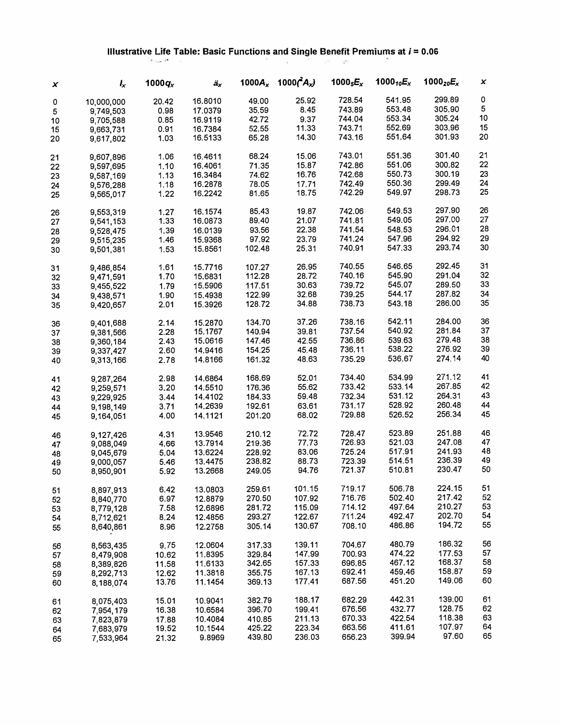#### **Illustrative Life Table: Basic Functions and Single Benefit Premiums at i = 0.06**  .

| x  | $I_{x}$    | 1000 $q_x$ | äx      | 1000 $A_x$ | 1000 $(A_x)$ | 1000 $_5E_x$ | 1000 $_{10}E_x$ | 1000 <sub>20</sub> $E_{x}$ | x  |
|----|------------|------------|---------|------------|--------------|--------------|-----------------|----------------------------|----|
| 0  | 10,000,000 | 20.42      | 16.8010 | 49.00      | 25.92        | 728.54       | 541.95          | 299.89                     | 0  |
| 5  | 9,749,503  | 0.98       | 17.0379 | 35.59      | 8.45         | 743.89       | 553.48          | 305,90                     | 5  |
| 10 | 9,705,588  | 0.85       | 16.9119 | 42.72      | 9.37         | 744.04       | 553.34          | 305.24                     | 10 |
| 15 | 9,663,731  | 0.91       | 16.7384 | 52.55      | 11.33        | 743.71       | 552.69          | 303.96                     | 15 |
| 20 | 9,617,802  | 1.03       | 16.5133 | 65.28      | 14.30        | 743.16       | 551.64          | 301.93                     | 20 |
| 21 | 9,607,896  | 1.06       | 16.4611 | 68.24      | 15.06        | 743.01       | 551.36          | 301.40                     | 21 |
| 22 | 9,597,695  | 1.10       | 16.4061 | 71.35      | 15.87        | 742.86       | 551.06          | 300.82                     | 22 |
| 23 | 9,587,169  | 1.13       | 16.3484 | 74.62      | 16.76        | 742.68       | 550.73          | 300.19                     | 23 |
| 24 | 9,576,288  | 1.18       | 16.2878 | 78.05      | 17.71        | 742.49       | 550.36          | 299.49                     | 24 |
| 25 | 9,565,017  | 1.22       | 16,2242 | 81.65      | 18.75        | 742.29       | 549.97          | 298.73                     | 25 |
| 26 | 9,553,319  | 1.27       | 16.1574 | 85.43      | 19.87        | 742.06       | 549.53          | 297.90                     | 26 |
| 27 | 9,541,153  | 1.33       | 16.0873 | 89.40      | 21.07        | 741.81       | 549.05          | 297.00                     | 27 |
| 28 | 9,528,475  | 1.39       | 16.0139 | 93.56      | 22.38        | 741.54       | 548.53          | 296.01                     | 28 |
| 29 | 9,515,235  | 1.46       | 15.9368 | 97.92      | 23.79        | 741.24       | 547.96          | 294.92                     | 29 |
| 30 | 9,501,381  | 1.53       | 15.8561 | 102.48     | 25.31        | 740.91       | 547.33          | 293.74                     | 30 |
| 31 | 9,486,854  | 1.61       | 15.7716 | 107.27     | 26.95        | 740.55       | 546.65          | 292.45                     | 31 |
| 32 | 9,471,591  | 1.70       | 15.6831 | 112.28     | 28.72        | 740.16       | 545.90          | 291.04                     | 32 |
| 33 | 9,455,522  | 1.79       | 15.5906 | 117.51     | 30.63        | 739.72       | 545.07          | 289.50                     | 33 |
| 34 | 9,438,571  | 1.90       | 15,4938 | 122,99     | 32.68        | 739.25       | 544.17          | 287.82                     | 34 |
| 35 | 9,420,657  | 2.01       | 15.3926 | 128.72     | 34.88        | 738.73       | 543.18          | 286.00                     | 35 |
| 36 | 9,401,688  | 2.14       | 15.2870 | 134.70     | 37.26        | 738.16       | 542.11          | 284.00                     | 36 |
| 37 | 9,381,566  | 2.28       | 15.1767 | 140.94     | 39.81        | 737.54       | 540.92          | 281.84                     | 37 |
| 38 | 9,360,184  | 2.43       | 15,0616 | 147.46     | 42.55        | 736.86       | 539.63          | 279.48                     | 38 |
| 39 | 9,337,427  | 2.60       | 14.9416 | 154.25     | 45.48        | 736.11       | 538.22          | 276.92                     | 39 |
| 40 | 9,313,166  | 2.78       | 14.8166 | 161.32     | 48.63        | 735.29       | 536.67          | 274.14                     | 40 |
| 41 | 9,287,264  | 2.98       | 14.6864 | 168.69     | 52.01        | 734.40       | 534.99          | 271.12                     | 41 |
| 42 | 9,259,571  | 3.20       | 14.5510 | 176.36     | 55.62        | 733.42       | 533.14          | 267.85                     | 42 |
| 43 | 9,229,925  | 3.44       | 14.4102 | 184.33     | 59.48        | 732.34       | 531.12          | 264.31                     | 43 |
| 44 | 9,198,149  | 3.71       | 14.2639 | 192.61     | 63.61        | 731.17       | 528.92          | 260.48                     | 44 |
| 45 | 9,164,051  | 4.00       | 14.1121 | 201.20     | 68.02        | 729.88       | 526.52          | 256.34                     | 45 |
| 46 | 9,127,426  | 4.31       | 13.9546 | 210.12     | 72.72        | 728.47       | 523.89          | 251.88                     | 46 |
| 47 | 9,088,049  | 4.66       | 13.7914 | 219.36     | 77.73        | 726.93       | 521.03          | 247.08                     | 47 |
| 48 | 9,045,679  | 5.04       | 13.6224 | 228.92     | 83.06        | 725.24       | 517.91          | 241.93                     | 48 |
| 49 | 9,000,057  | 5.46       | 13.4475 | 238.82     | 88.73        | 723.39       | 514.51          | 236.39                     | 49 |
| 50 | 8,950,901  | 5.92       | 13.2668 | 249.05     | 94.76        | 721.37       | 510.81          | 230.47                     | 50 |
| 51 | 8,897,913  | 6.42       | 13.0803 | 259.61     | 101.15       | 719.17       | 506.78          | 224.15                     | 51 |
| 52 | 8,840,770  | 6.97       | 12.8879 | 270.50     | 107.92       | 716.76       | 502.40          | 217.42                     | 52 |
| 53 | 8,779,128  | 7.58       | 12.6896 | 281.72     | 115.09       | 714.12       | 497.64          | 210.27                     | 53 |
| 54 | 8,712,621  | 8.24       | 12.4856 | 293.27     | 122.67       | 711.24       | 492.47          | 202.70                     | 54 |
| 55 | 8,640,861  | 8.96       | 12.2758 | 305.14     | 130.67       | 708.10       | 486.86          | 194.72                     | 55 |
| 56 | 8,563,435  | 9.75       | 12.0604 | 317.33     | 139.11       | 704.67       | 480.79          | 186.32                     | 56 |
| 57 | 8,479,908  | 10.62      | 11.8395 | 329.84     | 147.99       | 700.93       | 474.22          | 177.53                     | 57 |
| 58 | 8,389,826  | 11.58      | 11.6133 | 342,65     | 157.33       | 696.85       | 467.12          | 168.37                     | 58 |
| 59 | 8,292,713  | 12.62      | 11.3818 | 355,75     | 167.13       | 692.41       | 459.46          | 158.87                     | 59 |
| 60 | 8,188,074  | 13.76      | 11.1454 | 369.13     | 177.41       | 687.56       | 451.20          | 149.06                     | 60 |
| 61 | 8,075,403  | 15.01      | 10.9041 | 382.79     | 188.17       | 682.29       | 442.31          | 139.00                     | 61 |
| 62 | 7,954,179  | 16.38      | 10.6584 | 396.70     | 199.41       | 676.56       | 432.77          | 128.75                     | 62 |
| 63 | 7,823,879  | 17.88      | 10.4084 | 410.85     | 211.13       | 670.33       | 422.54          | 118.38                     | 63 |
| 64 | 7,683,979  | 19.52      | 10.1544 | 425.22     | 223.34       | 663.56       | 411.61          | 107.97                     | 64 |
| 65 | 7,533,964  | 21.32      | 9,8969  | 439,80     | 236.03       | 656.23       | 399.94          | 97.60                      | 65 |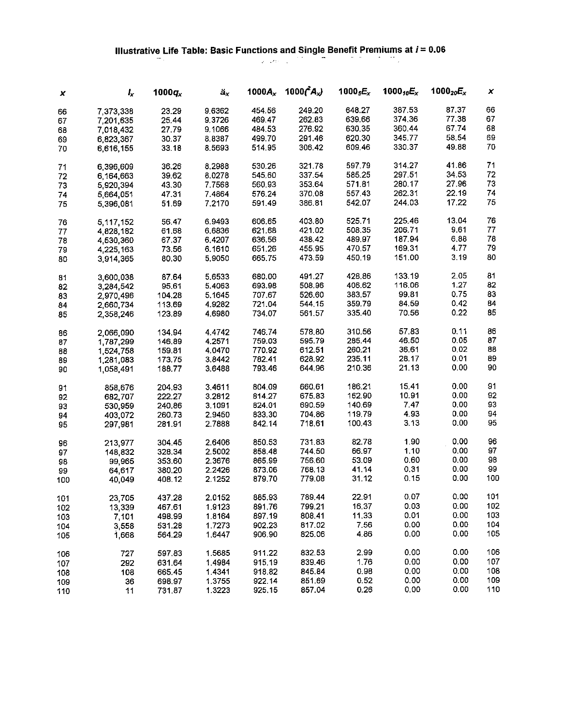## Illustrative Life Table: Basic Functions and Single Benefit Premiums at  $i = 0.06$ <br>

| x   | $I_{\mathbf{x}}$ | $1000q_x$ | $\ddot{a}_x$ | $1000A_x$ | 1000 $(A_x)$ | 1000 $_5E_x$ | 1000 $_{10}E_{x}$ | 1000 <sub>20</sub> $E_{x}$ | x   |
|-----|------------------|-----------|--------------|-----------|--------------|--------------|-------------------|----------------------------|-----|
| 66  | 7,373,338        | 23.29     | 9.6362       | 454.56    | 249.20       | 648.27       | 387.53            | 87.37                      | 66  |
| 67  | 7,201,635        | 25.44     | 9.3726       | 469.47    | 262.83       | 639.66       | 374.36            | 77.38                      | 67  |
| 68  | 7,018,432        | 27.79     | 9.1066       | 484.53    | 276.92       | 630.35       | 360.44            | 67.74                      | 68  |
|     | 6,823,367        | 30.37     | 8.8387       | 499.70    | 291 46       | 620.30       | 345.77            | 58.54                      | 69  |
| 69  |                  |           | 8.5693       | 514.95    | 306.42       | 609.46       | 330.37            | 49.88                      | 70  |
| 70  | 6,616,155        | 33.18     |              |           |              |              |                   |                            |     |
| 71  | 6,396,609        | 36.26     | 8.2988       | 530.26    | 321.78       | 597.79       | 314.27            | 41.86                      | 71  |
| 72  | 6,164,663        | 39.62     | 8.0278       | 545.60    | 337 54       | 585.25       | 297.51            | 34.53                      | 72  |
| 73  | 5,920,394        | 43.30     | 7.7568       | 560.93    | 353.64       | 571.81       | 280.17            | 27.96                      | 73  |
| 74  | 5,664,051        | 47.31     | 7.4864       | 576.24    | 370.08       | 557.43       | 262.31            | 22.19                      | 74  |
| 75  | 5,396,081        | 51.69     | 7.2170       | 591.49    | 386.81       | 542.07       | 244.03            | 17.22                      | 75  |
| 76  | 5,117,152        | 56.47     | 6.9493       | 606.65    | 403.80       | 525.71       | 225.46            | 13.04                      | 76  |
| 77  | 4,828,182        | 61.68     | 6,6836       | 621.68    | 421.02       | 508.35       | 206.71            | 9.61                       | 77  |
| 78  | 4,530,360        | 67.37     | 6,4207       | 636.56    | 438.42       | 489.97       | 187.94            | 6.88                       | 78  |
| 79  | 4,225,163        | 73.56     | 6.1610       | 651.26    | 455.95       | 470.57       | 169.31            | 4.77                       | 79  |
| 80  | 3,914,365        | 80.30     | 5,9050       | 665.75    | 473.59       | 450.19       | 151.00            | 3.19                       | 80  |
|     |                  |           |              | 680.00    | 491.27       | 428.86       | 133.19            | 2.05                       | 81  |
| 81  | 3,600,038        | 87.64     | 5.6533       |           | 508.96       |              | 116.06            | 1.27                       | 82  |
| 82  | 3,284,542        | 95.61     | 5.4063       | 693.98    |              | 406.62       | 99.81             | 0.75                       | 83  |
| 83  | 2,970,496        | 104.28    | 5,1645       | 707.67    | 526.60       | 383.57       |                   |                            |     |
| 84  | 2,660,734        | 113.69    | 4.9282       | 721.04    | 544.15       | 359.79       | 84.59             | 0.42                       | 84  |
| 85  | 2,358,246        | 123.89    | 4.6980       | 734.07    | 561.57       | 335.40       | 70.56             | 0.22                       | 85  |
| 86  | 2,066,090        | 134.94    | 4.4742       | 746.74    | 578.80       | 310.56       | 57.83             | 0.11                       | 86  |
| 87  | 1,787,299        | 146.89    | 4.2571       | 759.03    | 595.79       | 285.44       | 46.50             | 0.05                       | 87  |
| 88  | 1,524,758        | 159.81    | 4.0470       | 770.92    | 612.51       | 260.21       | 36.61             | 0.02                       | 88  |
| 89  | 1,281,083        | 173.75    | 3.8442       | 782.41    | 628.92       | 235.11       | 28.17             | 0.01                       | 89  |
| 90  | 1,058,491        | 188.77    | 3.6488       | 793.46    | 644 96       | 210.36       | 21.13             | 0.00                       | 90  |
| 91  | 858,676          | 204.93    | 3.4611       | 804.09    | 660.61       | 186.21       | 15.41             | 0.00                       | 91  |
| 92  | 682,707          | 222.27    | 3.2812       | 814.27    | 675.83       | 162.90       | 10.91             | 0.00                       | 92  |
| 93  | 530,959          | 240,86    | 3.1091       | 824.01    | 690.59       | 140.69       | 7.47              | 0.00                       | 93  |
| 94  | 403,072          | 260.73    | 2.9450       | 833.30    | 704.86       | 119.79       | 4.93              | 0.00                       | 94  |
| 95  | 297,981          | 281.91    | 2.7888       | 842.14    | 718.61       | 100.43       | 3.13              | 0.00                       | 95  |
|     |                  |           |              |           |              |              |                   |                            |     |
| 96  | 213,977          | 304.45    | 2.6406       | 850.53    | 731.83       | 82.78        | 1.90              | 0.00                       | 96  |
| 97  | 148,832          | 328.34    | 2,5002       | 858.48    | 744.50       | 66.97        | 1.10              | 0.00                       | 97  |
| 98  | 99,965           | 353.60    | 2.3676       | 865.99    | 756.60       | 53.09        | 0.60              | 0.00                       | 98  |
| 99  | 64,617           | 380.20    | 2.2426       | 873.06    | 768.13       | 41.14        | 0.31              | 0.00                       | 99  |
| 100 | 40,049           | 408.12    | 2.1252       | 879.70    | 779.08       | 31.12        | 0.15              | 0.00                       | 100 |
| 101 | 23,705           | 437.28    | 2.0152       | 885.93    | 789.44       | 22.91        | 0.07              | 0.00                       | 101 |
| 102 | 13,339           | 467.61    | 1.9123       | 891.76    | 799.21       | 16.37        | 0.03              | 0.00                       | 102 |
| 103 | 7,101            | 498.99    | 1.8164       | 897.19    | 808.41       | 11.33        | 0.01              | 0.00                       | 103 |
| 104 | 3,558            | 531.28    | 1.7273       | 902.23    | 817.02       | 7.56         | 0.00              | 0,00                       | 104 |
| 105 | 1,668            | 564.29    | 1.6447       | 906.90    | 825.06       | 4.86         | 0.00              | 0.00                       | 105 |
|     |                  | 597.83    | 1.5685       |           | 832.53       | 2.99         | 0.00              | 0.00                       | 106 |
| 106 | 727              |           |              | 911.22    |              | 1.76         | 0.00              | 0.00                       | 107 |
| 107 | 292              | 631.64    | 1.4984       | 915.19    | 839.46       |              |                   |                            |     |
| 108 | 108              | 665.45    | 1.4341       | 918.82    | 845.84       | 0.98         | 0.00              | 0.00                       | 108 |
| 109 | 36               | 698.97    | 1.3755       | 922.14    | 851.69       | 0.52         | 0.00              | 0.00                       | 109 |
| 110 | 11               | 731.87    | 1.3223       | 925.15    | 857.04       | 0.26         | 0.00              | 0.00                       | 110 |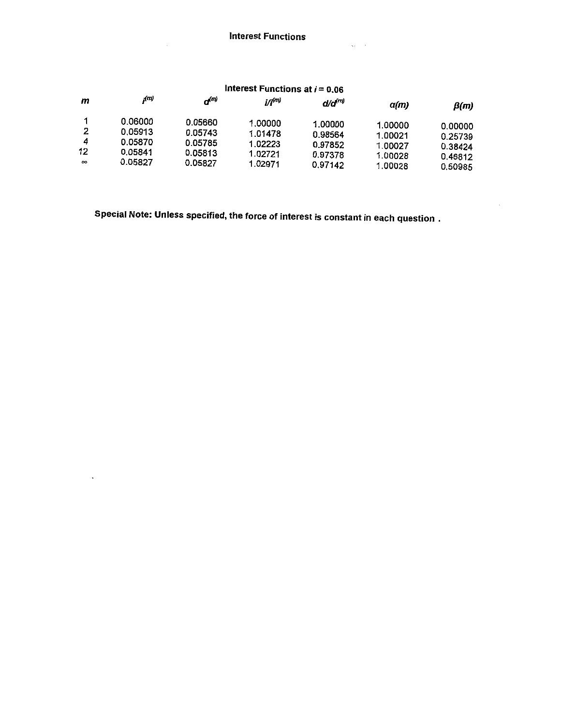|  |  | Interest Functions at $i = 0.06$ |
|--|--|----------------------------------|
|--|--|----------------------------------|

L.

| m                        | (n)                                                 | $\bm{a}^{(m)}$                                      | i/i <sup>(m)</sup>                                  | d/d <sup>(m)</sup>                                  | $\alpha(m)$                                         | $\beta(m)$                                          |
|--------------------------|-----------------------------------------------------|-----------------------------------------------------|-----------------------------------------------------|-----------------------------------------------------|-----------------------------------------------------|-----------------------------------------------------|
| 2<br>4<br>12<br>$\infty$ | 0.06000<br>0.05913<br>0.05870<br>0.05841<br>0.05827 | 0.05660<br>0.05743<br>0.05785<br>0.05813<br>0.05827 | 1.00000<br>1.01478<br>1.02223<br>1.02721<br>1.02971 | 1.00000<br>0.98564<br>0.97852<br>0.97378<br>0.97142 | 1.00000<br>1.00021<br>1.00027<br>1.00028<br>1.00028 | 0.00000<br>0.25739<br>0.38424<br>0.46812<br>0.50985 |

Special Note: Unless specified, the force of interest is constant in each question.

 $\ddot{\phantom{0}}$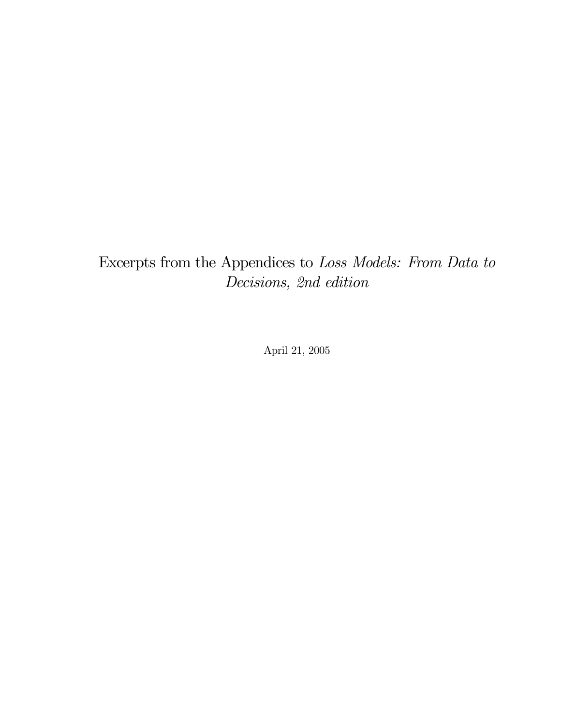### Excerpts from the Appendices to Loss Models: From Data to Decisions, 2nd edition

April 21, 2005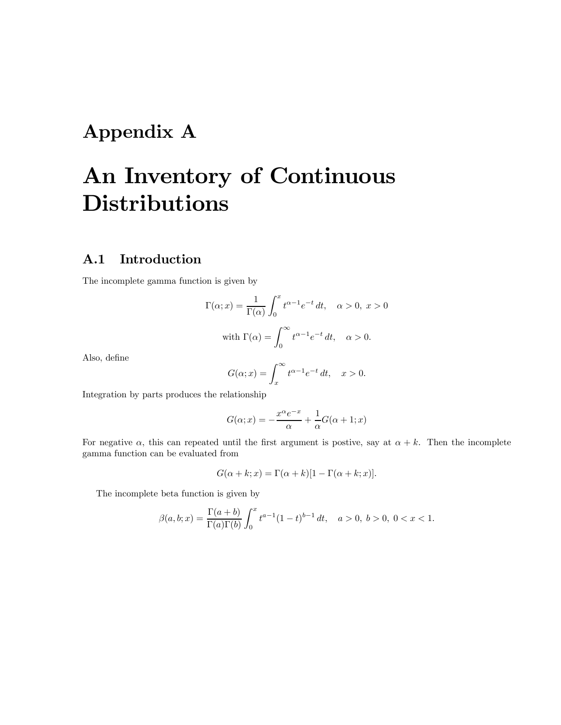## Appendix A

## An Inventory of Continuous **Distributions**

#### A.1 Introduction

The incomplete gamma function is given by

$$
\Gamma(\alpha; x) = \frac{1}{\Gamma(\alpha)} \int_0^x t^{\alpha - 1} e^{-t} dt, \quad \alpha > 0, \ x > 0
$$
  
with 
$$
\Gamma(\alpha) = \int_0^\infty t^{\alpha - 1} e^{-t} dt, \quad \alpha > 0.
$$

Also, define

$$
G(\alpha; x) = \int_x^{\infty} t^{\alpha - 1} e^{-t} dt, \quad x > 0.
$$

Integration by parts produces the relationship

$$
G(\alpha; x) = -\frac{x^{\alpha}e^{-x}}{\alpha} + \frac{1}{\alpha}G(\alpha + 1; x)
$$

For negative  $\alpha$ , this can repeated until the first argument is postive, say at  $\alpha + k$ . Then the incomplete gamma function can be evaluated from

$$
G(\alpha + k; x) = \Gamma(\alpha + k)[1 - \Gamma(\alpha + k; x)].
$$

The incomplete beta function is given by

$$
\beta(a, b; x) = \frac{\Gamma(a+b)}{\Gamma(a)\Gamma(b)} \int_0^x t^{a-1} (1-t)^{b-1} dt, \quad a > 0, \ b > 0, \ 0 < x < 1.
$$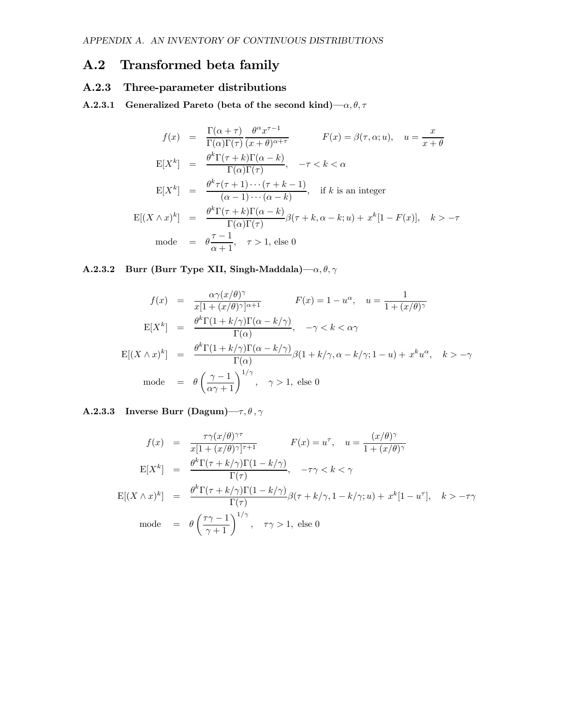#### A.2 Transformed beta family

#### A.2.3 Three-parameter distributions

A.2.3.1 Generalized Pareto (beta of the second kind)— $\alpha, \theta, \tau$ 

$$
f(x) = \frac{\Gamma(\alpha + \tau)}{\Gamma(\alpha)\Gamma(\tau)} \frac{\theta^{\alpha} x^{\tau - 1}}{(x + \theta)^{\alpha + \tau}} \qquad F(x) = \beta(\tau, \alpha; u), \quad u = \frac{x}{x + \theta}
$$
  
\n
$$
E[X^{k}] = \frac{\theta^{k} \Gamma(\tau + k) \Gamma(\alpha - k)}{\Gamma(\alpha) \Gamma(\tau)}, \quad -\tau < k < \alpha
$$
  
\n
$$
E[X^{k}] = \frac{\theta^{k} \tau(\tau + 1) \cdots (\tau + k - 1)}{(\alpha - 1) \cdots (\alpha - k)}, \quad \text{if } k \text{ is an integer}
$$
  
\n
$$
E[(X \wedge x)^{k}] = \frac{\theta^{k} \Gamma(\tau + k) \Gamma(\alpha - k)}{\Gamma(\alpha) \Gamma(\tau)} \beta(\tau + k, \alpha - k; u) + x^{k} [1 - F(x)], \quad k > -\tau
$$
  
\n
$$
\text{mode} = \theta \frac{\tau - 1}{\alpha + 1}, \quad \tau > 1, \text{ else } 0
$$

#### A.2.3.2 Burr (Burr Type XII, Singh-Maddala)— $\alpha, \theta, \gamma$

$$
f(x) = \frac{\alpha \gamma (x/\theta)^{\gamma}}{x[1 + (x/\theta)^{\gamma}]^{\alpha+1}} \qquad F(x) = 1 - u^{\alpha}, \quad u = \frac{1}{1 + (x/\theta)^{\gamma}}
$$

$$
E[X^{k}] = \frac{\theta^{k} \Gamma(1 + k/\gamma) \Gamma(\alpha - k/\gamma)}{\Gamma(\alpha)}, \quad -\gamma < k < \alpha \gamma
$$

$$
E[(X \wedge x)^{k}] = \frac{\theta^{k} \Gamma(1 + k/\gamma) \Gamma(\alpha - k/\gamma)}{\Gamma(\alpha)} \beta(1 + k/\gamma, \alpha - k/\gamma; 1 - u) + x^{k} u^{\alpha}, \quad k > -\gamma
$$

$$
\text{mode} = \theta \left(\frac{\gamma - 1}{\alpha \gamma + 1}\right)^{1/\gamma}, \quad \gamma > 1, \text{ else } 0
$$

#### A.2.3.3 Inverse Burr (Dagum)– $\tau, \theta, \gamma$

$$
f(x) = \frac{\tau \gamma (x/\theta)^{\gamma \tau}}{x[1 + (x/\theta)^{\gamma}]^{\tau+1}} \qquad F(x) = u^{\tau}, \quad u = \frac{(x/\theta)^{\gamma}}{1 + (x/\theta)^{\gamma}}
$$

$$
E[X^k] = \frac{\theta^k \Gamma(\tau + k/\gamma) \Gamma(1 - k/\gamma)}{\Gamma(\tau)}, \quad -\tau \gamma < k < \gamma
$$

$$
E[(X \wedge x)^k] = \frac{\theta^k \Gamma(\tau + k/\gamma) \Gamma(1 - k/\gamma)}{\Gamma(\tau)} \beta(\tau + k/\gamma, 1 - k/\gamma; u) + x^k [1 - u^{\tau}], \quad k > -\tau \gamma
$$

$$
\text{mode} = \theta \left(\frac{\tau \gamma - 1}{\gamma + 1}\right)^{1/\gamma}, \quad \tau \gamma > 1, \text{ else } 0
$$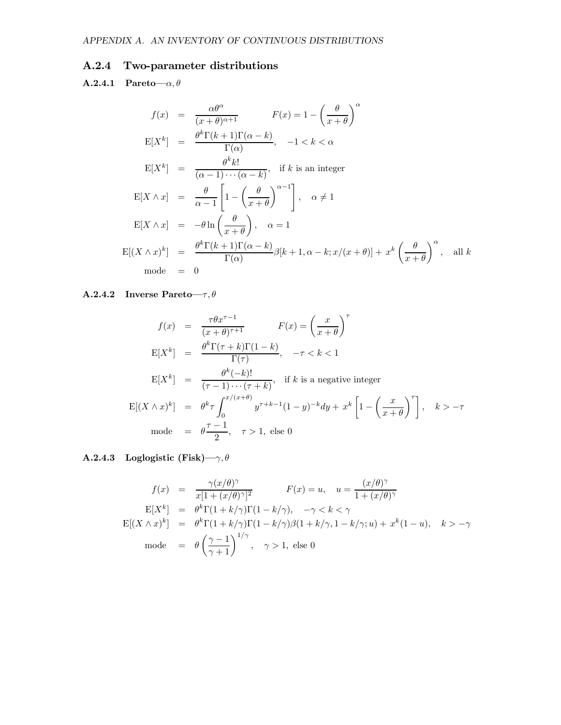#### A.2.4 Two-parameter distributions

A.2.4.1 Pareto— $\alpha, \theta$ 

$$
f(x) = \frac{\alpha \theta^{\alpha}}{(x + \theta)^{\alpha + 1}} \qquad F(x) = 1 - \left(\frac{\theta}{x + \theta}\right)^{\alpha}
$$
  
\n
$$
E[X^{k}] = \frac{\theta^{k} \Gamma(k + 1) \Gamma(\alpha - k)}{\Gamma(\alpha)}, \quad -1 < k < \alpha
$$
  
\n
$$
E[X^{k}] = \frac{\theta^{k} k!}{(\alpha - 1) \cdots (\alpha - k)}, \text{ if } k \text{ is an integer}
$$
  
\n
$$
E[X \wedge x] = \frac{\theta}{\alpha - 1} \left[1 - \left(\frac{\theta}{x + \theta}\right)^{\alpha - 1}\right], \quad \alpha \neq 1
$$
  
\n
$$
E[X \wedge x] = -\theta \ln \left(\frac{\theta}{x + \theta}\right), \quad \alpha = 1
$$
  
\n
$$
E[(X \wedge x)^{k}] = \frac{\theta^{k} \Gamma(k + 1) \Gamma(\alpha - k)}{\Gamma(\alpha)} \beta[k + 1, \alpha - k; x/(x + \theta)] + x^{k} \left(\frac{\theta}{x + \theta}\right)^{\alpha}, \text{ all } k
$$
  
\n
$$
\text{mode} = 0
$$

#### A.2.4.2 Inverse Pareto— $\tau, \theta$

$$
f(x) = \frac{\tau \theta x^{\tau - 1}}{(x + \theta)^{\tau + 1}} \qquad F(x) = \left(\frac{x}{x + \theta}\right)^{\tau}
$$
  
\n
$$
E[X^k] = \frac{\theta^k \Gamma(\tau + k) \Gamma(1 - k)}{\Gamma(\tau)}, \quad -\tau < k < 1
$$
  
\n
$$
E[X^k] = \frac{\theta^k(-k)!}{(\tau - 1) \cdots (\tau + k)}, \quad \text{if } k \text{ is a negative integer}
$$
  
\n
$$
E[(X \wedge x)^k] = \theta^k \tau \int_0^{x/(x + \theta)} y^{\tau + k - 1} (1 - y)^{-k} dy + x^k \left[1 - \left(\frac{x}{x + \theta}\right)^{\tau}\right], \quad k > -\tau
$$
  
\n
$$
\text{mode} = \theta \frac{\tau - 1}{2}, \quad \tau > 1, \text{ else } 0
$$

A.2.4.3 Loglogistic (Fisk)– $\gamma, \theta$ 

$$
f(x) = \frac{\gamma(x/\theta)^{\gamma}}{x[1 + (x/\theta)^{\gamma}]^2} \qquad F(x) = u, \quad u = \frac{(x/\theta)^{\gamma}}{1 + (x/\theta)^{\gamma}}
$$

$$
E[X^k] = \theta^k \Gamma(1 + k/\gamma) \Gamma(1 - k/\gamma), \quad -\gamma < k < \gamma
$$

$$
E[(X \wedge x)^k] = \theta^k \Gamma(1 + k/\gamma) \Gamma(1 - k/\gamma) \beta(1 + k/\gamma, 1 - k/\gamma; u) + x^k (1 - u), \quad k > -\gamma
$$

$$
\text{mode} = \theta \left(\frac{\gamma - 1}{\gamma + 1}\right)^{1/\gamma}, \quad \gamma > 1, \text{ else } 0
$$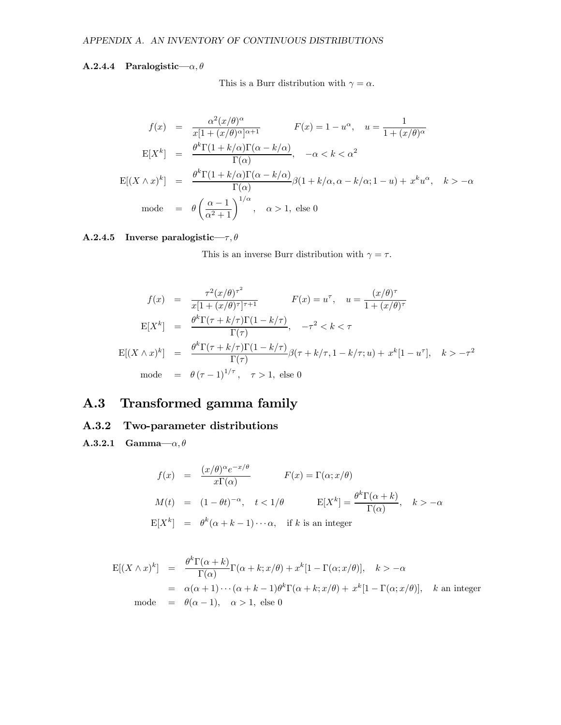#### A.2.4.4 Paralogistic— $\alpha, \theta$

This is a Burr distribution with  $\gamma = \alpha$ .

$$
f(x) = \frac{\alpha^2 (x/\theta)^{\alpha}}{x[1 + (x/\theta)^{\alpha}]^{\alpha+1}} \qquad F(x) = 1 - u^{\alpha}, \quad u = \frac{1}{1 + (x/\theta)^{\alpha}}
$$

$$
E[X^k] = \frac{\theta^k \Gamma(1 + k/\alpha) \Gamma(\alpha - k/\alpha)}{\Gamma(\alpha)}, \quad -\alpha < k < \alpha^2
$$

$$
E[(X \wedge x)^k] = \frac{\theta^k \Gamma(1 + k/\alpha) \Gamma(\alpha - k/\alpha)}{\Gamma(\alpha)} \beta(1 + k/\alpha, \alpha - k/\alpha; 1 - u) + x^k u^{\alpha}, \quad k > -\alpha
$$

$$
\text{mode} = \theta \left(\frac{\alpha - 1}{\alpha^2 + 1}\right)^{1/\alpha}, \quad \alpha > 1, \text{ else } 0
$$

#### A.2.4.5 Inverse paralogistic— $\tau, \theta$

This is an inverse Burr distribution with  $\gamma = \tau$ .

$$
f(x) = \frac{\tau^2 (x/\theta)^{\tau^2}}{x[1 + (x/\theta)^{\tau}]^{\tau+1}} \qquad F(x) = u^{\tau}, \quad u = \frac{(x/\theta)^{\tau}}{1 + (x/\theta)^{\tau}}
$$

$$
E[X^k] = \frac{\theta^k \Gamma(\tau + k/\tau) \Gamma(1 - k/\tau)}{\Gamma(\tau)}, \quad -\tau^2 < k < \tau
$$

$$
E[(X \wedge x)^k] = \frac{\theta^k \Gamma(\tau + k/\tau) \Gamma(1 - k/\tau)}{\Gamma(\tau)} \beta(\tau + k/\tau, 1 - k/\tau; u) + x^k [1 - u^{\tau}], \quad k > -\tau^2
$$

$$
\text{mode} = \theta(\tau - 1)^{1/\tau}, \quad \tau > 1, \text{ else } 0
$$

#### A.3 Transformed gamma family

#### A.3.2 Two-parameter distributions

A.3.2.1 Gamma $-\alpha, \theta$ 

$$
f(x) = \frac{(x/\theta)^{\alpha}e^{-x/\theta}}{x\Gamma(\alpha)}
$$

$$
F(x) = \Gamma(\alpha; x/\theta)
$$

$$
M(t) = (1 - \theta t)^{-\alpha}, \quad t < 1/\theta
$$

$$
E[X^k] = \frac{\theta^k \Gamma(\alpha + k)}{\Gamma(\alpha)}, \quad k > -\alpha
$$

$$
E[X^k] = \theta^k(\alpha + k - 1) \cdots \alpha, \quad \text{if } k \text{ is an integer}
$$

$$
E[(X \wedge x)^k] = \frac{\theta^k \Gamma(\alpha + k)}{\Gamma(\alpha)} \Gamma(\alpha + k; x/\theta) + x^k [1 - \Gamma(\alpha; x/\theta)], \quad k > -\alpha
$$
  
=  $\alpha(\alpha + 1) \cdots (\alpha + k - 1) \theta^k \Gamma(\alpha + k; x/\theta) + x^k [1 - \Gamma(\alpha; x/\theta)], \quad k \text{ an integer}$   
mode =  $\theta(\alpha - 1), \quad \alpha > 1$ , else 0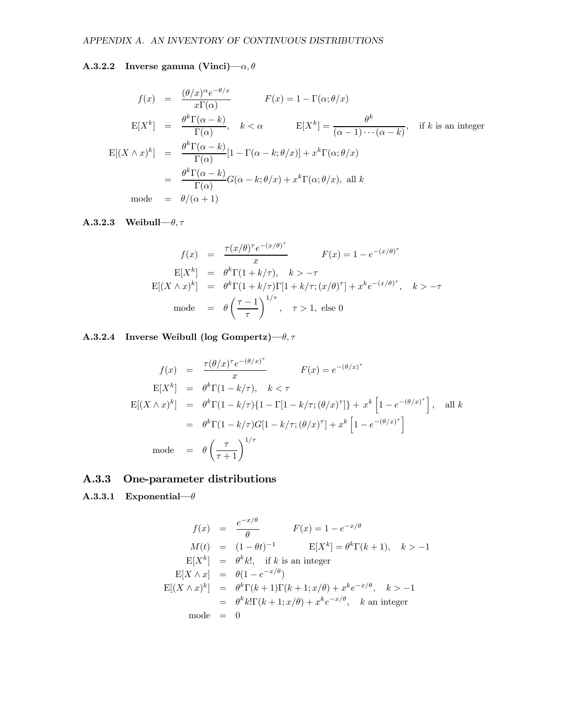#### A.3.2.2 Inverse gamma (Vinci)— $\alpha, \theta$

$$
f(x) = \frac{(\theta/x)^{\alpha}e^{-\theta/x}}{x\Gamma(\alpha)}
$$

$$
F(x) = 1 - \Gamma(\alpha; \theta/x)
$$

$$
E[X^{k}] = \frac{\theta^{k}\Gamma(\alpha - k)}{\Gamma(\alpha)}, \quad k < \alpha
$$

$$
E[X^{k}] = \frac{\theta^{k}}{\Gamma(\alpha - 1) \cdots (\alpha - k)}, \quad \text{if } k \text{ is an integer}
$$

$$
E[(X \wedge x)^{k}] = \frac{\theta^{k}\Gamma(\alpha - k)}{\Gamma(\alpha)}[1 - \Gamma(\alpha - k; \theta/x)] + x^{k}\Gamma(\alpha; \theta/x)
$$

$$
= \frac{\theta^{k}\Gamma(\alpha - k)}{\Gamma(\alpha)}G(\alpha - k; \theta/x) + x^{k}\Gamma(\alpha; \theta/x), \text{ all } k
$$

$$
\text{mode} = \theta/(\alpha + 1)
$$

#### **A.3.2.3** Weibull– $\theta$ ,  $\tau$

$$
f(x) = \frac{\tau(x/\theta)^{\tau} e^{-(x/\theta)^{\tau}}}{x} \qquad F(x) = 1 - e^{-(x/\theta)^{\tau}}
$$
  
\n
$$
E[X^{k}] = \theta^{k} \Gamma(1 + k/\tau), \quad k > -\tau
$$
  
\n
$$
E[(X \wedge x)^{k}] = \theta^{k} \Gamma(1 + k/\tau) \Gamma[1 + k/\tau; (x/\theta)^{\tau}] + x^{k} e^{-(x/\theta)^{\tau}}, \quad k > -\tau
$$
  
\n
$$
\text{mode} = \theta \left(\frac{\tau - 1}{\tau}\right)^{1/\tau}, \quad \tau > 1, \text{ else } 0
$$

A.3.2.4 Inverse Weibull (log Gompertz)– $\theta$ ,  $\tau$ 

$$
f(x) = \frac{\tau(\theta/x)^{\tau}e^{-(\theta/x)^{\tau}}}{x} \qquad F(x) = e^{-(\theta/x)^{\tau}}
$$
  
\n
$$
E[X^{k}] = \theta^{k}\Gamma(1 - k/\tau), \quad k < \tau
$$
  
\n
$$
E[(X \wedge x)^{k}] = \theta^{k}\Gamma(1 - k/\tau)\{1 - \Gamma[1 - k/\tau; (\theta/x)^{\tau}]\} + x^{k} \left[1 - e^{-(\theta/x)^{\tau}}\right], \quad \text{all } k
$$
  
\n
$$
= \theta^{k}\Gamma(1 - k/\tau)G[1 - k/\tau; (\theta/x)^{\tau}] + x^{k} \left[1 - e^{-(\theta/x)^{\tau}}\right]
$$
  
\nmode =  $\theta\left(\frac{\tau}{\tau + 1}\right)^{1/\tau}$ 

#### A.3.3 One-parameter distributions

A.3.3.1 Exponential– $\theta$ 

$$
f(x) = \frac{e^{-x/\theta}}{\theta} \qquad F(x) = 1 - e^{-x/\theta}
$$
  
\n
$$
M(t) = (1 - \theta t)^{-1} \qquad E[X^k] = \theta^k \Gamma(k+1), \quad k > -1
$$
  
\n
$$
E[X^k] = \theta^k k!, \quad \text{if } k \text{ is an integer}
$$
  
\n
$$
E[X \wedge x] = \theta(1 - e^{-x/\theta})
$$
  
\n
$$
E[(X \wedge x)^k] = \theta^k \Gamma(k+1) \Gamma(k+1; x/\theta) + x^k e^{-x/\theta}, \quad k > -1
$$
  
\n
$$
= \theta^k k! \Gamma(k+1; x/\theta) + x^k e^{-x/\theta}, \quad k \text{ an integer}
$$
  
\n
$$
\text{mode} = 0
$$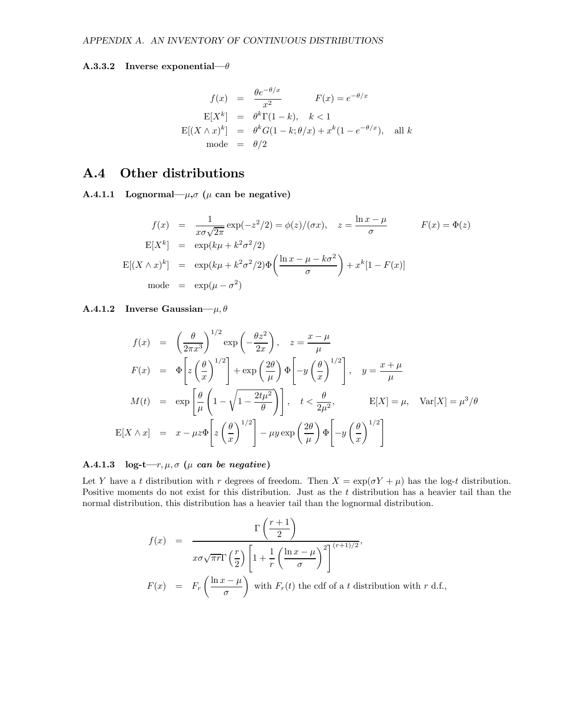#### A.3.3.2 Inverse exponential– $\theta$

$$
f(x) = \frac{\theta e^{-\theta/x}}{x^2} \qquad F(x) = e^{-\theta/x}
$$
  
\n
$$
E[X^k] = \theta^k \Gamma(1-k), \quad k < 1
$$
  
\n
$$
E[(X \wedge x)^k] = \theta^k G(1-k; \theta/x) + x^k (1 - e^{-\theta/x}), \quad \text{all } k
$$
  
\nmode = \theta/2

#### A.4 Other distributions

A.4.1.1 Lognormal— $\mu$ , $\sigma$  ( $\mu$  can be negative)

$$
f(x) = \frac{1}{x\sigma\sqrt{2\pi}} \exp(-z^2/2) = \phi(z)/(\sigma x), \quad z = \frac{\ln x - \mu}{\sigma} \qquad F(x) = \Phi(z)
$$

$$
E[X^k] = \exp(k\mu + k^2\sigma^2/2)
$$

$$
E[(X \wedge x)^k] = \exp(k\mu + k^2\sigma^2/2)\Phi\left(\frac{\ln x - \mu - k\sigma^2}{\sigma}\right) + x^k[1 - F(x)]
$$

$$
\text{mode} = \exp(\mu - \sigma^2)
$$

A.4.1.2 Inverse Gaussian— $\mu, \theta$ 

$$
f(x) = \left(\frac{\theta}{2\pi x^3}\right)^{1/2} \exp\left(-\frac{\theta z^2}{2x}\right), \quad z = \frac{x - \mu}{\mu}
$$
  
\n
$$
F(x) = \Phi\left[z\left(\frac{\theta}{x}\right)^{1/2}\right] + \exp\left(\frac{2\theta}{\mu}\right)\Phi\left[-y\left(\frac{\theta}{x}\right)^{1/2}\right], \quad y = \frac{x + \mu}{\mu}
$$
  
\n
$$
M(t) = \exp\left[\frac{\theta}{\mu}\left(1 - \sqrt{1 - \frac{2t\mu^2}{\theta}}\right)\right], \quad t < \frac{\theta}{2\mu^2}, \qquad E[X] = \mu, \quad \text{Var}[X] = \mu^3/\theta
$$
  
\n
$$
E[X \wedge x] = x - \mu z \Phi\left[z\left(\frac{\theta}{x}\right)^{1/2}\right] - \mu y \exp\left(\frac{2\theta}{\mu}\right)\Phi\left[-y\left(\frac{\theta}{x}\right)^{1/2}\right]
$$

#### A.4.1.3 log-t– $r, \mu, \sigma$  ( $\mu$  can be negative)

Let Y have a t distribution with r degrees of freedom. Then  $X = \exp(\sigma Y + \mu)$  has the log-t distribution. Positive moments do not exist for this distribution. Just as the t distribution has a heavier tail than the normal distribution, this distribution has a heavier tail than the lognormal distribution.

$$
f(x) = \frac{\Gamma\left(\frac{r+1}{2}\right)}{x\sigma\sqrt{\pi r}\Gamma\left(\frac{r}{2}\right)\left[1 + \frac{1}{r}\left(\frac{\ln x - \mu}{\sigma}\right)^2\right]^{(r+1)/2}},
$$
  

$$
F(x) = F_r\left(\frac{\ln x - \mu}{\sigma}\right) \text{ with } F_r(t) \text{ the cdf of a } t \text{ distribution with } r \text{ d.f.,}
$$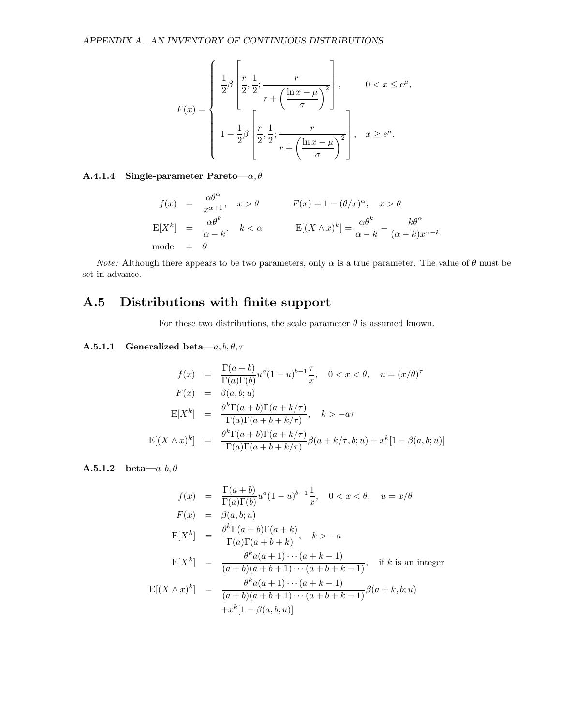$$
F(x) = \begin{cases} \frac{1}{2}\beta \left[ \frac{r}{2}, \frac{1}{2}; \frac{r}{r + \left(\frac{\ln x - \mu}{\sigma}\right)^2} \right], & 0 < x \le e^{\mu}, \\ 1 - \frac{1}{2}\beta \left[ \frac{r}{2}, \frac{1}{2}; \frac{r}{r + \left(\frac{\ln x - \mu}{\sigma}\right)^2} \right], & x \ge e^{\mu}. \end{cases}
$$

#### A.4.1.4 Single-parameter Pareto— $\alpha, \theta$

$$
f(x) = \frac{\alpha \theta^{\alpha}}{x^{\alpha+1}}, \quad x > \theta \qquad F(x) = 1 - (\theta/x)^{\alpha}, \quad x > \theta
$$
  
\n
$$
E[X^{k}] = \frac{\alpha \theta^{k}}{\alpha - k}, \quad k < \alpha \qquad E[(X \wedge x)^{k}] = \frac{\alpha \theta^{k}}{\alpha - k} - \frac{k \theta^{\alpha}}{(\alpha - k)x^{\alpha - k}}
$$
  
\nmode =  $\theta$ 

*Note:* Although there appears to be two parameters, only  $\alpha$  is a true parameter. The value of  $\theta$  must be set in advance.

#### A.5 Distributions with finite support

For these two distributions, the scale parameter  $\theta$  is assumed known.

#### **A.5.1.1** Generalized beta— $a, b, \theta, \tau$

$$
f(x) = \frac{\Gamma(a+b)}{\Gamma(a)\Gamma(b)} u^a (1-u)^{b-1} \frac{\tau}{x}, \quad 0 < x < \theta, \quad u = (x/\theta)^{\tau}
$$
\n
$$
F(x) = \beta(a, b; u)
$$
\n
$$
E[X^k] = \frac{\theta^k \Gamma(a+b) \Gamma(a+k/\tau)}{\Gamma(a) \Gamma(a+b+k/\tau)}, \quad k > -a\tau
$$
\n
$$
E[(X \wedge x)^k] = \frac{\theta^k \Gamma(a+b) \Gamma(a+k/\tau)}{\Gamma(a) \Gamma(a+b+k/\tau)} \beta(a+k/\tau, b; u) + x^k [1 - \beta(a, b; u)]
$$

A.5.1.2 beta— $a, b, \theta$ 

$$
f(x) = \frac{\Gamma(a+b)}{\Gamma(a)\Gamma(b)} u^a (1-u)^{b-1} \frac{1}{x}, \quad 0 < x < \theta, \quad u = x/\theta
$$
  
\n
$$
F(x) = \beta(a, b; u)
$$
  
\n
$$
E[X^k] = \frac{\theta^k \Gamma(a+b) \Gamma(a+k)}{\Gamma(a) \Gamma(a+b+k)}, \quad k > -a
$$
  
\n
$$
E[X^k] = \frac{\theta^k a(a+1) \cdots (a+k-1)}{(a+b)(a+b+1) \cdots (a+b+k-1)}, \quad \text{if } k \text{ is an integer}
$$
  
\n
$$
E[(X \wedge x)^k] = \frac{\theta^k a(a+1) \cdots (a+k-1)}{(a+b)(a+b+1) \cdots (a+b+k-1)} \beta(a+k, b; u)
$$
  
\n
$$
+x^k [1 - \beta(a, b; u)]
$$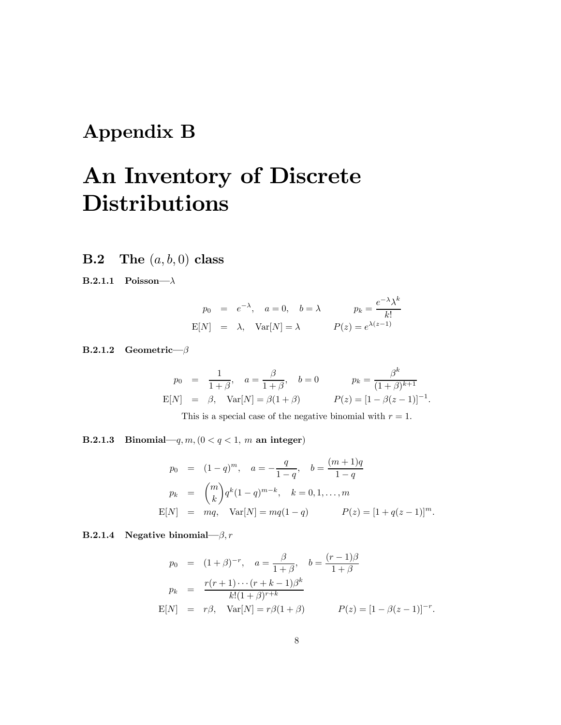## Appendix B

## An Inventory of Discrete **Distributions**

**B.2** The  $(a, b, 0)$  class

B.2.1.1 Poisson–λ

$$
p_0 = e^{-\lambda}, \quad a = 0, \quad b = \lambda
$$
  $p_k = \frac{e^{-\lambda}\lambda^k}{k!}$   
\n $E[N] = \lambda, \quad Var[N] = \lambda$   $P(z) = e^{\lambda(z-1)}$ 

B.2.1.2 Geometric–β

$$
p_0 = \frac{1}{1+\beta}, \quad a = \frac{\beta}{1+\beta}, \quad b = 0
$$
  $p_k = \frac{\beta^k}{(1+\beta)^{k+1}}$   
\n $E[N] = \beta, \quad Var[N] = \beta(1+\beta)$   $P(z) = [1-\beta(z-1)]^{-1}.$ 

This is a special case of the negative binomial with  $r = 1$ .

B.2.1.3 Binomial—q,  $m$ ,  $(0 < q < 1, m$  an integer)

$$
p_0 = (1-q)^m, \quad a = -\frac{q}{1-q}, \quad b = \frac{(m+1)q}{1-q}
$$

$$
p_k = {m \choose k} q^k (1-q)^{m-k}, \quad k = 0, 1, ..., m
$$

$$
E[N] = mq, \quad Var[N] = mq(1-q) \qquad P(z) = [1+q(z-1)]^m.
$$

B.2.1.4 Negative binomial– $\beta$ , r

$$
p_0 = (1+\beta)^{-r}, \quad a = \frac{\beta}{1+\beta}, \quad b = \frac{(r-1)\beta}{1+\beta}
$$
  
\n
$$
p_k = \frac{r(r+1)\cdots(r+k-1)\beta^k}{k!(1+\beta)^{r+k}}
$$
  
\n
$$
E[N] = r\beta, \quad Var[N] = r\beta(1+\beta) \qquad P(z) = [1-\beta(z-1)]^{-r}.
$$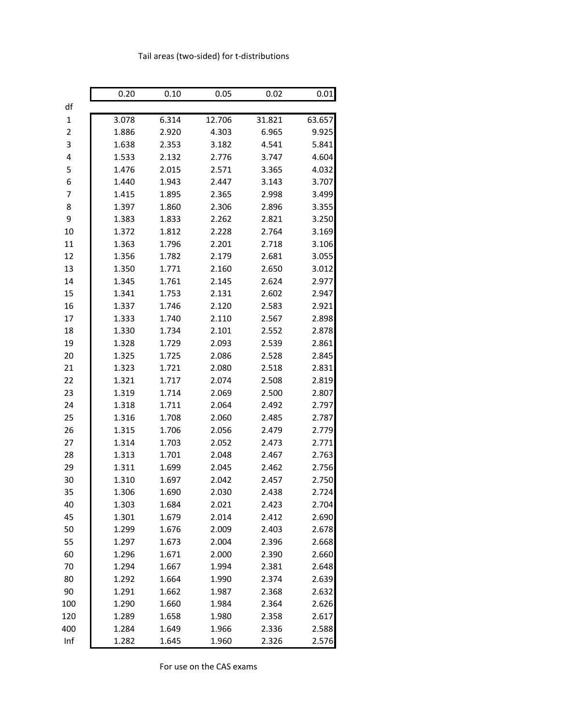|             | 0.20  | 0.10  | 0.05   | 0.02   | 0.01   |
|-------------|-------|-------|--------|--------|--------|
| df          |       |       |        |        |        |
| $\mathbf 1$ | 3.078 | 6.314 | 12.706 | 31.821 | 63.657 |
| 2           | 1.886 | 2.920 | 4.303  | 6.965  | 9.925  |
| 3           | 1.638 | 2.353 | 3.182  | 4.541  | 5.841  |
| 4           | 1.533 | 2.132 | 2.776  | 3.747  | 4.604  |
| 5           | 1.476 | 2.015 | 2.571  | 3.365  | 4.032  |
| 6           | 1.440 | 1.943 | 2.447  | 3.143  | 3.707  |
| 7           | 1.415 | 1.895 | 2.365  | 2.998  | 3.499  |
| 8           | 1.397 | 1.860 | 2.306  | 2.896  | 3.355  |
| 9           | 1.383 | 1.833 | 2.262  | 2.821  | 3.250  |
| 10          | 1.372 | 1.812 | 2.228  | 2.764  | 3.169  |
| 11          | 1.363 | 1.796 | 2.201  | 2.718  | 3.106  |
| 12          | 1.356 | 1.782 | 2.179  | 2.681  | 3.055  |
| 13          | 1.350 | 1.771 | 2.160  | 2.650  | 3.012  |
| 14          | 1.345 | 1.761 | 2.145  | 2.624  | 2.977  |
| 15          | 1.341 | 1.753 | 2.131  | 2.602  | 2.947  |
| 16          | 1.337 | 1.746 | 2.120  | 2.583  | 2.921  |
| 17          | 1.333 | 1.740 | 2.110  | 2.567  | 2.898  |
| 18          | 1.330 | 1.734 | 2.101  | 2.552  | 2.878  |
| 19          | 1.328 | 1.729 | 2.093  | 2.539  | 2.861  |
| 20          | 1.325 | 1.725 | 2.086  | 2.528  | 2.845  |
| 21          | 1.323 | 1.721 | 2.080  | 2.518  | 2.831  |
| 22          | 1.321 | 1.717 | 2.074  | 2.508  | 2.819  |
| 23          | 1.319 | 1.714 | 2.069  | 2.500  | 2.807  |
| 24          | 1.318 | 1.711 | 2.064  | 2.492  | 2.797  |
| 25          | 1.316 | 1.708 | 2.060  | 2.485  | 2.787  |
| 26          | 1.315 | 1.706 | 2.056  | 2.479  | 2.779  |
| 27          | 1.314 | 1.703 | 2.052  | 2.473  | 2.771  |
| 28          | 1.313 | 1.701 | 2.048  | 2.467  | 2.763  |
| 29          | 1.311 | 1.699 | 2.045  | 2.462  | 2.756  |
| 30          | 1.310 | 1.697 | 2.042  | 2.457  | 2.750  |
| 35          | 1.306 | 1.690 | 2.030  | 2.438  | 2.724  |
| 40          | 1.303 | 1.684 | 2.021  | 2.423  | 2.704  |
| 45          | 1.301 | 1.679 | 2.014  | 2.412  | 2.690  |
| 50          | 1.299 | 1.676 | 2.009  | 2.403  | 2.678  |
| 55          | 1.297 | 1.673 | 2.004  | 2.396  | 2.668  |
| 60          | 1.296 | 1.671 | 2.000  | 2.390  | 2.660  |
| 70          | 1.294 | 1.667 | 1.994  | 2.381  | 2.648  |
| 80          | 1.292 | 1.664 | 1.990  | 2.374  | 2.639  |
| 90          | 1.291 | 1.662 | 1.987  | 2.368  | 2.632  |
| 100         | 1.290 | 1.660 | 1.984  | 2.364  | 2.626  |
| 120         | 1.289 | 1.658 | 1.980  | 2.358  | 2.617  |
| 400         | 1.284 | 1.649 | 1.966  | 2.336  | 2.588  |
| Inf         | 1.282 | 1.645 | 1.960  | 2.326  | 2.576  |

#### Tail areas (two-sided) for t-distributions

For use on the CAS exams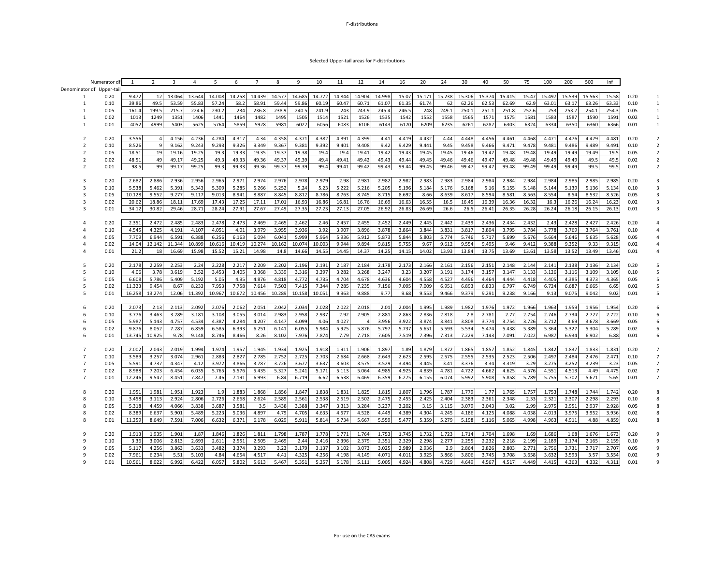#### Selected Upper-tail areas for F-distributions

|                | Numerator d              | 1      | 2              | 3      | $\overline{4}$ | 5      | 6      | $\overline{7}$ | 8      | 9      | 10     | 11     | 12     | 14     | 16    | 20     | 24     | 30     | 40     | 50     | 75    | 100    | 200    | 500    | Inf   |      |                         |
|----------------|--------------------------|--------|----------------|--------|----------------|--------|--------|----------------|--------|--------|--------|--------|--------|--------|-------|--------|--------|--------|--------|--------|-------|--------|--------|--------|-------|------|-------------------------|
|                | Denominator df Upper-tai |        |                |        |                |        |        |                |        |        |        |        |        |        |       |        |        |        |        |        |       |        |        |        |       |      |                         |
|                | 0.20                     | 9.472  | 12             | 13.064 | 13.644         | 14.008 | 14.258 | 14.439         | 14.577 | 14.685 | 14.772 | 14.844 | 14.904 | 14.998 | 15.07 | 15.171 | 15.238 | 15.306 | 15.374 | 15.415 | 15.47 | 15.497 | 15.539 | 15.563 | 15.58 | 0.20 | 1                       |
| 1              | 0.10                     | 39.86  | 49.5           | 53.59  | 55.83          | 57.24  | 58.2   | 58.91          | 59.44  | 59.86  | 60.19  | 60.47  | 60.71  | 61.07  | 61.35 | 61.74  | 62     | 62.26  | 62.53  | 62.69  | 62.9  | 63.01  | 63.17  | 63.26  | 63.33 | 0.10 | $\,1\,$                 |
| $\mathbf{1}$   | 0.05                     | 161.4  | 199.5          | 215.7  | 224.6          | 230.2  | 234    | 236.8          | 238.9  | 240.5  | 241.9  | 243    | 243.9  | 245.4  | 246.5 | 248    | 249.1  | 250.1  | 251.1  | 251.8  | 252.6 | 253    | 253.7  | 254.1  | 254.3 | 0.05 | $\mathbf{1}$            |
| $\overline{1}$ | 0.02                     | 1013   | 1249           | 1351   | 1406           | 1441   | 1464   | 1482           | 1495   | 1505   | 1514   | 1521   | 1526   | 1535   | 1542  | 1552   | 1558   | 1565   | 1571   | 1575   | 1581  | 1583   | 1587   | 1590   | 1591  | 0.02 | $\mathbf{1}$            |
| 1              | 0.01                     | 4052   | 4999           | 5403   | 5625           | 5764   | 5859   | 5928           | 5981   | 6022   | 6056   | 6083   | 6106   | 6143   | 6170  | 6209   | 6235   | 6261   | 6287   | 6303   | 6324  | 6334   | 6350   | 6360   | 6366  | 0.01 | $\mathbf{1}$            |
|                |                          |        |                |        |                |        |        |                |        |        |        |        |        |        |       |        |        |        |        |        |       |        |        |        |       |      |                         |
| 2              | 0.20                     | 3.556  | $\overline{4}$ | 4.156  | 4.236          | 4.284  | 4.317  | 4.34           | 4.358  | 4.371  | 4.382  | 4.391  | 4.399  | 4.41   | 4.419 | 4.432  | 4.44   | 4.448  | 4.456  | 4.461  | 4.468 | 4.471  | 4.476  | 4.479  | 4.481 | 0.20 |                         |
| $\overline{2}$ |                          |        |                | 9.162  | 9.243          |        | 9.326  | 9.349          |        | 9.381  |        | 9.401  | 9.408  | 9.42   | 9.429 | 9.441  | 9.45   | 9.458  | 9.466  | 9.471  |       | 9.481  | 9.486  | 9.489  | 9.491 |      | 2                       |
|                | 0.10                     | 8.526  | 9              |        |                | 9.293  |        |                | 9.367  |        | 9.392  |        |        |        |       |        |        |        |        |        | 9.478 |        |        |        |       | 0.10 |                         |
| $\overline{2}$ | 0.05                     | 18.51  | 19             | 19.16  | 19.25          | 19.3   | 19.33  | 19.35          | 19.37  | 19.38  | 19.4   | 19.4   | 19.41  | 19.42  | 19.43 | 19.45  | 19.45  | 19.46  | 19.47  | 19.48  | 19.48 | 19.49  | 19.49  | 19.49  | 19.   | 0.05 | $\overline{2}$          |
| $\overline{2}$ | 0.02                     | 48.51  | 49             | 49.17  | 49.25          | 49.3   | 49.33  | 49.36          | 49.37  | 49.39  | 49.4   | 49.41  | 49.42  | 49.43  | 49.44 | 49.45  | 49.46  | 49.46  | 49.47  | 49.48  | 49.48 | 49.49  | 49.49  | 49.5   | 49.5  | 0.02 | $\overline{\mathbf{2}}$ |
| $\overline{2}$ | 0.01                     | 98.5   | 99             | 99.17  | 99.25          | 99.3   | 99.33  | 99.36          | 99.37  | 99.39  | 99.4   | 99.41  | 99.42  | 99.43  | 99.44 | 99.45  | 99.46  | 99.47  | 99.47  | 99.48  | 99.49 | 99.49  | 99.49  | 99.5   | 99.5  | 0.01 | $\overline{2}$          |
|                |                          |        |                |        |                |        |        |                |        |        |        |        |        |        |       |        |        |        |        |        |       |        |        |        |       |      |                         |
| 3              | 0.20                     | 2.682  | 2.886          | 2.936  | 2.956          | 2.965  | 2.971  | 2.974          | 2.976  | 2.978  | 2.979  | 2.98   | 2.981  | 2.982  | 2.982 | 2.983  | 2.983  | 2.984  | 2.984  | 2.984  | 2.984 | 2.984  | 2.985  | 2.985  | 2.985 | 0.20 | 3                       |
| $\overline{3}$ | 0.10                     | 5.538  | 5.462          | 5.391  | 5.343          | 5.309  | 5.285  | 5.266          | 5.252  | 5.24   | 5.23   | 5.222  | 5.216  | 5.205  | 5.196 | 5.184  | 5.176  | 5.168  | 5.16   | 5.155  | 5.148 | 5.144  | 5.139  | 5.136  | 5.134 | 0.10 |                         |
| $\overline{3}$ | 0.05                     | 10.128 | 9.552          | 9.277  | 9.117          | 9.013  | 8.941  | 8.887          | 8.845  | 8.812  | 8.786  | 8.763  | 8.745  | 8.715  | 8.692 | 8.66   | 8.639  | 8.617  | 8.594  | 8.581  | 8.563 | 8.554  | 8.54   | 8.532  | 8.526 | 0.05 | 3                       |
| $\overline{3}$ | 0.02                     | 20.62  | 18.86          | 18.11  | 17.69          | 17.43  | 17.25  | 17.11          | 17.01  | 16.93  | 16.86  | 16.81  | 16.76  | 16.69  | 16.63 | 16.55  | 16.5   | 16.45  | 16.39  | 16.36  | 16.32 | 16.3   | 16.26  | 16.24  | 16.23 | 0.02 | 3                       |
| $\overline{3}$ | 0.01                     | 34.12  | 30.82          | 29.46  | 28.71          | 28.24  | 27.91  | 27.67          | 27.49  | 27.35  | 27.23  | 27.13  | 27.05  | 26.92  | 26.83 | 26.69  | 26.6   | 26.5   | 26.41  | 26.35  | 26.28 | 26.24  | 26.18  | 26.15  | 26.13 | 0.01 | 3                       |
|                |                          |        |                |        |                |        |        |                |        |        |        |        |        |        |       |        |        |        |        |        |       |        |        |        |       |      |                         |
| $\Delta$       | 0.20                     | 2.351  | 2.472          | 2.485  | 2.483          | 2.478  | 2.473  | 2.469          | 2.465  | 2.462  | 2.46   | 2.457  | 2.455  | 2.452  | 2.449 | 2.445  | 2.442  | 2.439  | 2.436  | 2.434  | 2.432 | 2.43   | 2.428  | 2.427  | 2.426 | 0.20 |                         |
| $\Delta$       | 0.10                     | 4.545  | 4.325          | 4.191  | 4.107          | 4.051  | 4.01   | 3.979          | 3.955  | 3.936  | 3.92   | 3.907  | 3.896  | 3.878  | 3.864 | 3.844  | 3.831  | 3.817  | 3.804  | 3.795  | 3.784 | 3.778  | 3.769  | 3.764  | 3.761 | 0.10 |                         |
|                | 0.05                     | 7.709  | 6.944          | 6.591  | 6.388          | 6.256  | 6.163  | 6.094          | 6.041  | 5.999  | 5.964  | 5.936  | 5.912  | 5.873  | 5.844 | 5.803  | 5.774  | 5.746  | 5.717  | 5.699  | 5.676 | 5.664  | 5.646  | 5.635  | 5.628 | 0.05 |                         |
| $\Delta$       | 0.02                     | 14.04  | 12.142         | 11.344 | 10.899         | 10.616 | 10.419 | 10.274         | 10.162 | 10.074 | 10.003 | 9.944  | 9.894  | 9.815  | 9.755 | 9.67   | 9.612  | 9.554  | 9.495  | 9.46   | 9.412 | 9.388  | 9.352  | 9.33   | 9.315 | 0.02 |                         |
| $\Delta$       | 0.01                     | 21.2   | 18             | 16.69  | 15.98          | 15.52  | 15.21  | 14.98          | 14.8   | 14.66  | 14.55  | 14.45  | 14.37  | 14.25  | 14.15 | 14.02  | 13.93  | 13.84  | 13.75  | 13.69  | 13.61 | 13.58  | 13.52  | 13.49  | 13.46 | 0.01 | 4                       |
|                |                          |        |                |        |                |        |        |                |        |        |        |        |        |        |       |        |        |        |        |        |       |        |        |        |       |      |                         |
| 5              |                          |        |                |        |                |        |        |                |        |        |        |        |        |        |       |        |        |        |        |        |       |        |        |        |       |      |                         |
|                | 0.20                     | 2.178  | 2.259          | 2.253  | 2.24           | 2.228  | 2.217  | 2.209          | 2.202  | 2.196  | 2.191  | 2.187  | 2.184  | 2.178  | 2.173 | 2.166  | 2.161  | 2.156  | 2.151  | 2.148  | 2.144 | 2.141  | 2.138  | 2.136  | 2.134 | 0.20 |                         |
| 5              | 0.10                     | 4.06   | 3.78           | 3.619  | 3.52           | 3.453  | 3.405  | 3.368          | 3.339  | 3.316  | 3.297  | 3.282  | 3.268  | 3.247  | 3.23  | 3.207  | 3.191  | 3.174  | 3.157  | 3.147  | 3.133 | 3.126  | 3.116  | 3.109  | 3.105 | 0.10 | 5                       |
| 5              | 0.05                     | 6.608  | 5.786          | 5.409  | 5.192          | 5.05   | 4.95   | 4.876          | 4.818  | 4.772  | 4.735  | 4.704  | 4.678  | 4.636  | 4.604 | 4.558  | 4.527  | 4.496  | 4.464  | 4.444  | 4.418 | 4.405  | 4.385  | 4.373  | 4.365 | 0.05 | 5                       |
| 5              | 0.02                     | 11.323 | 9.454          | 8.67   | 8.233          | 7.953  | 7.758  | 7.614          | 7.503  | 7.415  | 7.344  | 7.285  | 7.235  | 7.156  | 7.095 | 7.009  | 6.951  | 6.893  | 6.833  | 6.797  | 6.749 | 6.724  | 6.687  | 6.665  | 6.65  | 0.02 | 5                       |
| 5              | 0.01                     | 16.258 | 13.274         | 12.06  | 11.392         | 10.967 | 10.672 | 10.456         | 10.289 | 10.158 | 10.051 | 9.963  | 9.888  | 9.77   | 9.68  | 9.553  | 9.466  | 9.379  | 9.291  | 9.238  | 9.166 | 9.13   | 9.075  | 9.042  | 9.02  | 0.01 | 5                       |
|                |                          |        |                |        |                |        |        |                |        |        |        |        |        |        |       |        |        |        |        |        |       |        |        |        |       |      |                         |
| 6              | 0.20                     | 2.073  | 2.13           | 2.113  | 2.092          | 2.076  | 2.062  | 2.051          | 2.042  | 2.034  | 2.028  | 2.022  | 2.018  | 2.01   | 2.004 | 1.995  | 1.989  | 1.982  | 1.976  | 1.972  | 1.966 | 1.963  | 1.959  | 1.956  | 1.954 | 0.20 |                         |
| 6              | 0.10                     | 3.776  | 3.463          | 3.289  | 3.181          | 3.108  | 3.055  | 3.014          | 2.983  | 2.958  | 2.937  | 2.92   | 2.905  | 2.881  | 2.863 | 2.836  | 2.818  | 2.8    | 2.781  | 2.77   | 2.754 | 2.746  | 2.734  | 2.727  | 2.722 | 0.10 | 6                       |
| 6              | 0.05                     | 5.987  | 5.143          | 4.757  | 4.534          | 4.387  | 4.284  | 4.207          | 4.147  | 4.099  | 4.06   | 4.027  |        | 3.956  | 3.922 | 3.874  | 3.841  | 3.808  | 3.774  | 3.754  | 3.726 | 3.712  | 3.69   | 3.678  | 3.669 | 0.05 | 6                       |
| 6              | 0.02                     | 9.876  | 8.052          | 7.287  | 6.859          | 6.585  | 6.393  | 6.251          | 6.141  | 6.055  | 5.984  | 5.925  | 5.876  | 5.797  | 5.737 | 5.651  | 5.593  | 5.534  | 5.474  | 5.438  | 5.389 | 5.364  | 5.327  | 5.304  | 5.289 | 0.02 | 6                       |
| 6              | 0.01                     | 13.745 | 10.925         | 9.78   | 9.148          | 8.746  | 8.466  | 8.26           | 8.102  | 7.976  | 7.874  | 7.79   | 7.718  | 7.605  | 7.519 | 7.396  | 7.313  | 7.229  | 7.143  | 7.091  | 7.022 | 6.987  | 6.934  | 6.902  | 6.88  | 0.01 | 6                       |
|                |                          |        |                |        |                |        |        |                |        |        |        |        |        |        |       |        |        |        |        |        |       |        |        |        |       |      |                         |
| $\overline{7}$ | 0.20                     | 2.002  | 2.043          | 2.019  | 1.994          | 1.974  | 1.957  | 1.945          | 1.934  | 1.925  | 1.918  | 1.911  | 1.906  | 1.897  | 1.89  | 1.879  | 1.872  | 1.865  | 1.857  | 1.852  | 1.845 | 1.842  | 1.837  | 1.833  | 1.831 | 0.20 |                         |
| $\overline{7}$ | 0.10                     | 3.589  | 3.257          | 3.074  | 2.961          | 2.883  | 2.827  | 2.785          | 2.752  | 2.725  | 2.703  | 2.684  | 2.668  | 2.643  | 2.623 | 2.595  | 2.575  | 2.555  | 2.535  | 2.523  | 2.506 | 2.497  | 2.484  | 2.476  | 2.471 | 0.10 | $\overline{7}$          |
| $\overline{7}$ | 0.05                     | 5.591  | 4.737          | 4.347  | 4.12           | 3.972  | 3.866  | 3.787          | 3.726  | 3.677  | 3.637  | 3.603  | 3.575  | 3.529  | 3.494 | 3.445  | 3.41   | 3.376  | 3.34   | 3.319  | 3.29  | 3.275  | 3.252  | 3.239  | 3.23  | 0.05 | $\overline{7}$          |
| $\overline{7}$ | 0.02                     | 8.988  | 7.203          | 6.454  | 6.035          | 5.765  | 5.576  | 5.435          | 5.327  | 5.241  | 5.171  | 5.113  | 5.064  | 4.985  | 4.925 | 4.839  | 4.781  | 4.722  | 4.662  | 4.625  | 4.576 | 4.551  | 4.513  | 4.49   | 4.475 | 0.02 | $\overline{7}$          |
| $\overline{7}$ | 0.01                     | 12.246 | 9.547          | 8.451  | 7.847          | 7.46   | 7.191  | 6.993          | 6.84   | 6.719  | 6.62   | 6.538  | 6.469  | 6.359  | 6.275 | 6.155  | 6.074  | 5.992  | 5.908  | 5.858  | 5.789 | 5.755  | 5.702  | 5.671  | 5.65  | 0.01 | $\overline{7}$          |
|                |                          |        |                |        |                |        |        |                |        |        |        |        |        |        |       |        |        |        |        |        |       |        |        |        |       |      |                         |
|                |                          |        |                |        |                |        |        |                |        |        |        |        |        |        |       |        |        |        |        |        |       |        |        |        |       |      |                         |
| 8              | 0.20                     | 1.951  | 1.981          | 1.951  | 1.923          | 1.9    | 1.883  | 1.868          | 1.856  | 1.847  | 1.838  | 1.831  | 1.825  | 1.815  | 1.807 | 1.796  | 1.787  | 1.779  | 1.77   | 1.765  | 1.757 | 1.753  | 1.748  | 1.744  | 1.742 | 0.20 | 8                       |
| 8              | 0.10                     | 3.458  | 3.113          | 2.924  | 2.806          | 2.726  | 2.668  | 2.624          | 2.589  | 2.561  | 2.538  | 2.519  | 2.502  | 2.475  | 2.455 | 2.425  | 2.404  | 2.383  | 2.361  | 2.348  | 2.33  | 2.321  | 2.307  | 2.298  | 2.293 | 0.10 |                         |
| 8              | 0.05                     | 5.318  | 4.459          | 4.066  | 3.838          | 3.687  | 3.581  | 3.5            | 3.438  | 3.388  | 3.347  | 3.313  | 3.284  | 3.237  | 3.202 | 3.15   | 3.115  | 3.079  | 3.043  | 3.02   | 2.99  | 2.975  | 2.951  | 2.937  | 2.928 | 0.05 | 8                       |
| 8              | 0.02                     | 8.389  | 6.637          | 5.901  | 5.489          | 5.223  | 5.036  | 4.897          | 4.79   | 4.705  | 4.635  | 4.577  | 4.528  | 4.449  | 4.389 | 4.304  | 4.245  | 4.186  | 4.125  | 4.088  | 4.038 | 4.013  | 3.975  | 3.952  | 3.936 | 0.02 | 8                       |
| 8              | 0.01                     | 11.259 | 8.649          | 7.591  | 7.006          | 6.632  | 6.371  | 6.178          | 6.029  | 5.911  | 5.814  | 5.734  | 5.667  | 5.559  | 5.477 | 5.359  | 5.279  | 5.198  | 5.116  | 5.065  | 4.998 | 4.963  | 4.911  | 4.88   | 4.859 | 0.01 |                         |
|                |                          |        |                |        |                |        |        |                |        |        |        |        |        |        |       |        |        |        |        |        |       |        |        |        |       |      |                         |
| q              | 0.20                     | 1.913  | 1.935          | 1.901  | 1.87           | 1.846  | 1.826  | 1.811          | 1.798  | 1.787  | 1.778  | 1.771  | 1.764  | 1.753  | 1.745 | 1.732  | 1.723  | 1.714  | 1.704  | 1.698  | 1.69  | 1.686  | 1.68   | 1.676  | 1.673 | 0.20 | 9                       |
| q              | 0.10                     | 3.36   | 3.006          | 2.813  | 2.693          | 2.611  | 2.551  | 2.505          | 2.469  | 2.44   | 2.416  | 2.396  | 2.379  | 2.351  | 2.329 | 2.298  | 2.277  | 2.255  | 2.232  | 2.218  | 2.199 | 2.189  | 2.174  | 2.165  | 2.159 | 0.10 |                         |
| q              | 0.05                     | 5.117  | 4.256          | 3.863  | 3.633          | 3.482  | 3.374  | 3.293          | 3.23   | 3.179  | 3.137  | 3.102  | 3.073  | 3.025  | 2.989 | 2.936  | 2.9    | 2.864  | 2.826  | 2.803  | 2.771 | 2.756  | 2.731  | 2.717  | 2.707 | 0.05 | 9                       |
| ٠              | 0.02                     | 7.961  | 6.234          | 5.51   | 5.103          | 4.84   | 4.654  | 4.517          | 4.41   | 4.325  | 4.256  | 4.198  | 4.149  | 4.071  | 4.011 | 3.925  | 3.866  | 3.806  | 3.745  | 3.708  | 3.658 | 3.632  | 3.593  | 3.57   | 3.554 | 0.02 | 9                       |
|                | 0.01                     | 10.561 | 8.022          | 6.992  | 6.422          | 6.057  | 5.802  | 5.613          | 5.467  | 5.351  | 5.257  | 5.178  | 5.111  | 5.005  | 4.924 | 4.808  | 4.729  | 4.649  | 4.567  | 4.517  | 4.449 | 4.415  | 4.363  | 4.332  | 4.311 | 0.01 |                         |
|                |                          |        |                |        |                |        |        |                |        |        |        |        |        |        |       |        |        |        |        |        |       |        |        |        |       |      |                         |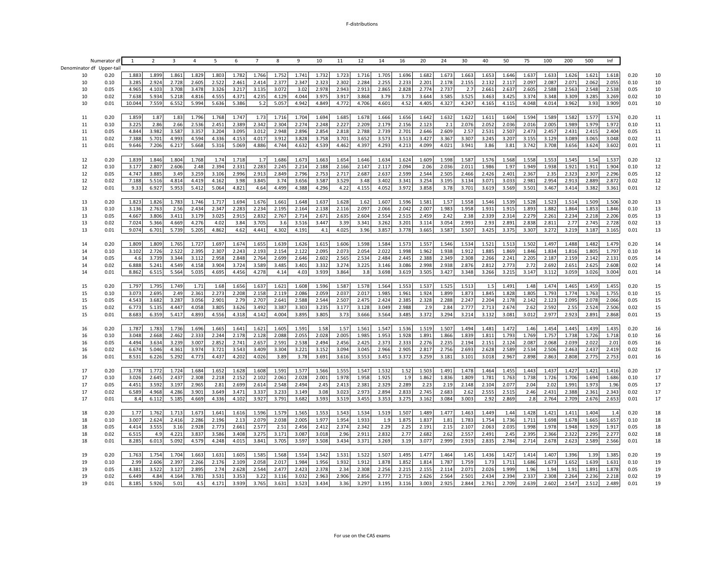|                          | Numerator di | $\mathbf{1}$ | $\overline{2}$ | 3     | $\overline{4}$ | 5     | 6     | $\overline{7}$ | 8     | 9     | 10    | 11    | 12    | 14    | 16    | 20    | 24    | 30    | 40    | 50    | 75    | 100   | 200   | 500   | Inf   |      |    |
|--------------------------|--------------|--------------|----------------|-------|----------------|-------|-------|----------------|-------|-------|-------|-------|-------|-------|-------|-------|-------|-------|-------|-------|-------|-------|-------|-------|-------|------|----|
| Denominator df Upper-tai |              |              |                |       |                |       |       |                |       |       |       |       |       |       |       |       |       |       |       |       |       |       |       |       |       |      |    |
| 10                       | 0.20         | 1.883        | 1.899          | 1.861 | 1.829          | 1.803 | 1.782 | 1.766          | 1.752 | 1.741 | 1.732 | 1.723 | 1.716 | 1.705 | 1.696 | 1.682 | 1.673 | 1.663 | 1.653 | 1.646 | 1.637 | 1.633 | 1.626 | 1.621 | 1.618 | 0.20 | 10 |
| 10                       | 0.10         | 3.285        | 2.924          | 2.728 | 2.605          | 2.522 | 2.461 | 2.414          | 2.377 | 2.347 | 2.323 | 2.302 | 2.284 | 2.255 | 2.233 | 2.201 | 2.178 | 2.155 | 2.132 | 2.117 | 2.097 | 2.087 | 2.071 | 2.062 | 2.055 | 0.10 | 10 |
| 10                       | 0.05         | 4.965        | 4.103          | 3.708 | 3.478          | 3.326 | 3.217 | 3.135          | 3.072 | 3.02  | 2.978 | 2.943 | 2.913 | 2.865 | 2.828 | 2.774 | 2.737 | 2.7   | 2.661 | 2.637 | 2.605 | 2.588 | 2.563 | 2.548 | 2.538 | 0.05 | 10 |
| 10                       | 0.02         | 7.638        | 5.934          | 5.218 | 4.816          | 4.555 | 4.371 | 4.235          | 4.129 | 4.044 | 3.975 | 3.917 | 3.868 | 3.79  | 3.73  | 3.644 | 3.585 | 3.525 | 3.463 | 3.425 | 3.374 | 3.348 | 3.309 | 3.285 | 3.269 | 0.02 | 10 |
| 10                       | 0.01         | 10.044       | 7.559          | 6.552 | 5.994          | 5.636 | 5.386 | 5.2            | 5.057 | 4.942 | 4.849 | 4.772 | 4.706 | 4.601 | 4.52  | 4.405 | 4.327 | 4.247 | 4.165 | 4.115 | 4.048 | 4.014 | 3.962 | 3.93  | 3.909 | 0.01 | 10 |
|                          |              |              |                |       |                |       |       |                |       |       |       |       |       |       |       |       |       |       |       |       |       |       |       |       |       |      |    |
| 11                       | 0.20         | 1.859        | 1.87           | 1.83  | 1.796          | 1.768 | 1.747 | 1.73           | 1.716 | 1.704 | 1.694 | 1.685 | 1.678 | 1.666 | 1.656 | 1.642 | 1.632 | 1.622 | 1.611 | 1.604 | 1.594 | 1.589 | 1.582 | 1.577 | 1.574 | 0.20 | 11 |
| 11                       | 0.10         | 3.225        | 2.86           | 2.66  | 2.536          | 2.451 | 2.389 | 2.342          | 2.304 | 2.274 | 2.248 | 2.227 | 2.209 | 2.179 | 2.156 | 2.123 | 2.1   | 2.076 | 2.052 | 2.036 | 2.016 | 2.005 | 1.989 | 1.979 | 1.972 | 0.10 | 11 |
| 11                       | 0.05         | 4.844        | 3.982          | 3.587 | 3.357          | 3.204 | 3.095 | 3.012          | 2.948 | 2.896 | 2.854 | 2.818 | 2.788 | 2.739 | 2.701 | 2.646 | 2.609 | 2.57  | 2.531 | 2.507 | 2.473 | 2.457 | 2.431 | 2.415 | 2.404 | 0.05 | 11 |
| 11                       | 0.02         | 7.388        | 5.701          | 4.993 | 4.594          | 4.336 | 4.153 | 4.017          | 3.912 | 3.828 | 3.758 | 3.701 | 3.652 | 3.573 | 3.513 | 3.427 | 3.367 | 3.307 | 3.245 | 3.207 | 3.155 | 3.129 | 3.089 | 3.065 | 3.048 | 0.02 | 11 |
| 11                       | 0.01         | 9.646        | 7.206          | 6.217 | 5.668          | 5.316 | 5.069 | 4.886          | 4.744 | 4.632 | 4.539 | 4.462 | 4.397 | 4.293 | 4.213 | 4.099 | 4.021 | 3.941 | 3.86  | 3.81  | 3.742 | 3.708 | 3.656 | 3.624 | 3.602 | 0.01 | 11 |
|                          |              |              |                |       |                |       |       |                |       |       |       |       |       |       |       |       |       |       |       |       |       |       |       |       |       |      |    |
| 12                       | 0.20         | 1.839        | 1.846          | 1.804 | 1.768          | 1.74  | 1.718 | 1.7            | 1.686 | 1.673 | 1.663 | 1.654 | 1.646 | 1.634 | 1.624 | 1.609 | 1.598 | 1.587 | 1.576 | 1.568 | 1.558 | 1.553 | 1.545 | 1.54  | 1.537 | 0.20 | 12 |
| 12                       | 0.10         | 3.177        | 2.807          | 2.606 | 2.48           | 2.394 | 2.331 | 2.283          | 2.245 | 2.214 | 2.188 | 2.166 | 2.147 | 2.117 | 2.094 | 2.06  | 2.036 | 2.011 | 1.986 | 1.97  | 1.949 | 1.938 | 1.921 | 1.911 | 1.904 | 0.10 | 12 |
| 12                       | 0.05         | 4.747        | 3.885          | 3.49  | 3.259          | 3.106 | 2.996 | 2.913          | 2.849 | 2.796 | 2.753 | 2.717 | 2.687 | 2.637 | 2.599 | 2.544 | 2.505 | 2.466 | 2.426 | 2.401 | 2.367 | 2.35  | 2.323 | 2.307 | 2.296 | 0.05 | 12 |
| 12                       | 0.02         | 7.188        | 5.516          | 4.814 | 4.419          | 4.162 | 3.98  | 3.845          | 3.74  | 3.656 | 3.587 | 3.529 | 3.48  | 3.402 | 3.341 | 3.254 | 3.195 | 3.134 | 3.071 | 3.033 | 2.981 | 2.954 | 2.913 | 2.889 | 2.872 | 0.02 | 12 |
| 12                       | 0.01         | 9.33         | 6.927          | 5.953 | 5.412          | 5.064 | 4.821 | 4.64           | 4.499 | 4.388 | 4.296 | 4.22  | 4.155 | 4.052 | 3.972 | 3.858 | 3.78  | 3.701 | 3.619 | 3.569 | 3.501 | 3.467 | 3.414 | 3.382 | 3.361 | 0.01 | 12 |
|                          |              |              |                |       |                |       |       |                |       |       |       |       |       |       |       |       |       |       |       |       |       |       |       |       |       |      |    |
| 13                       | 0.20         | 1.823        | 1.826          | 1.783 | 1.746          | 1.717 | 1.694 | 1.676          | 1.661 | 1.648 | 1.637 | 1.628 | 1.62  | 1.607 | 1.596 | 1.581 | 1.57  | 1.558 | 1.546 | 1.539 | 1.528 | 1.523 | 1.514 | 1.509 | 1.506 | 0.20 | 13 |
| 13                       | 0.10         | 3.136        | 2.763          | 2.56  | 2.434          | 2.347 | 2.283 | 2.234          | 2.195 | 2.164 | 2.138 | 2.116 | 2.097 | 2.066 | 2.042 | 2.007 | 1.983 | 1.958 | 1.931 | 1.915 | 1.893 | 1.882 | 1.864 | 1.853 | 1.846 | 0.10 | 13 |
| 13                       | 0.05         | 4.667        | 3.806          | 3.411 | 3.179          | 3.025 | 2.915 | 2.832          | 2.767 | 2.714 | 2.671 | 2.635 | 2.604 | 2.554 | 2.515 | 2.459 | 2.42  | 2.38  | 2.339 | 2.314 | 2.279 | 2.261 | 2.234 | 2.218 | 2.206 | 0.05 | 13 |
| 13                       | 0.02         | 7.024        | 5.366          | 4.669 | 4.276          | 4.02  | 3.84  | 3.705          | 3.6   | 3.516 | 3.447 | 3.39  | 3.341 | 3.267 | 3.201 | 3.114 | 3.054 | 2.993 | 2.93  | 2.891 | 2.838 | 2.811 | 2.77  | 2.745 | 2.728 | 0.02 | 13 |
| 13                       | 0.01         | 9.074        | 6.701          | 5.739 | 5.205          | 4.862 | 4.62  | 4.441          | 4.302 | 4.191 | 4.1   | 4.025 | 3.96  | 3.857 | 3.778 | 3.665 | 3.587 | 3.507 | 3.425 | 3.375 | 3.307 | 3.272 | 3.219 | 3.187 | 3.165 | 0.01 | 13 |
| 14                       | 0.20         | 1.809        | 1.809          | 1.765 | 1.727          | 1.697 | 1.674 | 1.655          | 1.639 | 1.626 | 1.615 | 1.606 | 1.598 | 1.584 | 1.573 | 1.557 | 1.546 | 1.534 | 1.521 | 1.513 | 1.502 | 1.497 | 1.488 | 1.482 | 1.479 | 0.20 | 14 |
| 14                       | 0.10         | 3.102        | 2.726          | 2.522 | 2.395          | 2.307 | 2.243 | 2.193          | 2.154 | 2.122 | 2.095 | 2.073 | 2.054 | 2.022 | 1.998 | 1.962 | 1.938 | 1.912 | 1.885 | 1.869 | 1.846 | 1.834 | 1.816 | 1.805 | 1.797 | 0.10 | 14 |
| 14                       | 0.05         | 4.6          | 3.739          | 3.344 | 3.112          | 2.958 | 2.848 | 2.764          | 2.699 | 2.646 | 2.602 | 2.565 | 2.534 | 2.484 | 2.445 | 2.388 | 2.349 | 2.308 | 2.266 | 2.241 | 2.205 | 2.187 | 2.159 | 2.142 | 2.131 | 0.05 | 14 |
| 14                       | 0.02         | 6.888        | 5.241          | 4.549 | 4.158          | 3.904 | 3.724 | 3.589          | 3.485 | 3.401 | 3.332 | 3.274 | 3.225 | 3.146 | 3.086 | 2.998 | 2.938 | 2.876 | 2.812 | 2.773 | 2.72  | 2.692 | 2.651 | 2.625 | 2.608 | 0.02 | 14 |
| 14                       | 0.01         | 8.862        | 6.515          | 5.564 | 5.035          | 4.695 | 4.456 | 4.278          | 4.14  | 4.03  | 3.939 | 3.864 | 3.8   | 3.698 | 3.619 | 3.505 | 3.427 | 3.348 | 3.266 | 3.215 | 3.147 | 3.112 | 3.059 | 3.026 | 3.004 | 0.01 | 14 |
|                          |              |              |                |       |                |       |       |                |       |       |       |       |       |       |       |       |       |       |       |       |       |       |       |       |       |      |    |
| 15                       | 0.20         | 1.797        | 1.795          | 1.749 | 1.71           | 1.68  | 1.656 | 1.637          | 1.621 | 1.608 | 1.596 | 1.587 | 1.578 | 1.564 | 1.553 | 1.537 | 1.525 | 1.513 | 1.5   | 1.491 | 1.48  | 1.474 | 1.465 | 1.459 | 1.455 | 0.20 | 15 |
| 15                       | 0.10         | 3.073        | 2.695          | 2.49  | 2.361          | 2.273 | 2.208 | 2.158          | 2.119 | 2.086 | 2.059 | 2.037 | 2.017 | 1.985 | 1.961 | 1.924 | 1.899 | 1.873 | 1.845 | 1.828 | 1.805 | 1.793 | 1.774 | 1.763 | 1.755 | 0.10 | 15 |
| 15                       | 0.05         | 4.543        | 3.682          | 3.287 | 3.056          | 2.901 | 2.79  | 2.707          | 2.641 | 2.588 | 2.544 | 2.507 | 2.475 | 2.424 | 2.385 | 2.328 | 2.288 | 2.247 | 2.204 | 2.178 | 2.142 | 2.123 | 2.095 | 2.078 | 2.066 | 0.05 | 15 |
| 15                       | 0.02         | 6.773        | 5.135          | 4.447 | 4.058          | 3.805 | 3.626 | 3.492          | 3.387 | 3.303 | 3.235 | 3.177 | 3.128 | 3.049 | 2.988 | 2.9   | 2.84  | 2.777 | 2.713 | 2.674 | 2.62  | 2.592 | 2.55  | 2.524 | 2.506 | 0.02 | 15 |
| 15                       | 0.01         | 8.683        | 6.359          | 5.417 | 4.893          | 4.556 | 4.318 | 4.142          | 4.004 | 3.895 | 3.805 | 3.73  | 3.666 | 3.564 | 3.485 | 3.372 | 3.294 | 3.214 | 3.132 | 3.081 | 3.012 | 2.977 | 2.923 | 2.891 | 2.868 | 0.01 | 15 |
|                          |              |              |                |       |                |       |       |                |       |       |       |       |       |       |       |       |       |       |       |       |       |       |       |       |       |      |    |
| 16                       | 0.20         | 1.787        | 1.783          | 1.736 | 1.696          | 1.665 | 1.641 | 1.621          | 1.605 | 1.591 | 1.58  | 1.57  | 1.561 | 1.547 | 1.536 | 1.519 | 1.507 | 1.494 | 1.481 | 1.472 | 1.46  | 1.454 | 1.445 | 1.439 | 1.435 | 0.20 | 16 |
| 16                       | 0.10         | 3.048        | 2.668          | 2.462 | 2.333          | 2.244 | 2.178 | 2.128          | 2.088 | 2.055 | 2.028 | 2.005 | 1.985 | 1.953 | 1.928 | 1.891 | 1.866 | 1.839 | 1.811 | 1.793 | 1.769 | 1.757 | 1.738 | 1.726 | 1.718 | 0.10 | 16 |
| 16                       | 0.05         | 4.494        | 3.634          | 3.239 | 3.007          | 2.852 | 2.741 | 2.657          | 2.591 | 2.538 | 2.494 | 2.456 | 2.425 | 2.373 | 2.333 | 2.276 | 2.235 | 2.194 | 2.151 | 2.124 | 2.087 | 2.068 | 2.039 | 2.022 | 2.01  | 0.05 | 16 |
| 16                       | 0.02         | 6.674        | 5.046          | 4.361 | 3.974          | 3.721 | 3.543 | 3.409          | 3.304 | 3.221 | 3.152 | 3.094 | 3.045 | 2.966 | 2.905 | 2.817 | 2.756 | 2.693 | 2.628 | 2.589 | 2.534 | 2.506 | 2.463 | 2.437 | 2.419 | 0.02 | 16 |
| 16                       | 0.01         | 8.531        | 6.226          | 5.292 | 4.773          | 4.437 | 4.202 | 4.026          | 3.89  | 3.78  | 3.691 | 3.616 | 3.553 | 3.451 | 3.372 | 3.259 | 3.181 | 3.101 | 3.018 | 2.967 | 2.898 | 2.863 | 2.808 | 2.775 | 2.753 | 0.01 | 16 |
|                          |              |              |                |       |                |       |       |                |       |       |       |       |       |       |       |       |       |       |       |       |       |       |       |       |       |      |    |
| 17                       | 0.20         | 1.778        | 1.772          | 1.724 | 1.684          | 1.652 | 1.628 | 1.608          | 1.591 | 1.577 | 1.566 | 1.555 | 1.547 | 1.532 | 1.52  | 1.503 | 1.491 | 1.478 | 1.464 | 1.455 | 1.443 | 1.437 | 1.427 | 1.421 | 1.416 | 0.20 | 17 |
| 17                       | 0.10         | 3.026        | 2.645          | 2.437 | 2.308          | 2.218 | 2.152 | 2.102          | 2.061 | 2.028 | 2.001 | 1.978 | 1.958 | 1.925 | 1.9   | 1.862 | 1.836 | 1.809 | 1.781 | 1.763 | 1.738 | 1.726 | 1.706 | 1.694 | 1.686 | 0.10 | 17 |
| 17                       | 0.05         | 4.451        | 3.592          | 3.197 | 2.965          | 2.81  | 2.699 | 2.614          | 2.548 | 2.494 | 2.45  | 2.413 | 2.381 | 2.329 | 2.289 | 2.23  | 2.19  | 2.148 | 2.104 | 2.077 | 2.04  | 2.02  | 1.991 | 1.973 | 1.96  | 0.05 | 17 |
| 17                       | 0.02         | 6.589        | 4.968          | 4.286 | 3.901          | 3.649 | 3.471 | 3.337          | 3.233 | 3.149 | 3.08  | 3.023 | 2.973 | 2.894 | 2.833 | 2.745 | 2.683 | 2.62  | 2.555 | 2.515 | 2.46  | 2.431 | 2.388 | 2.361 | 2.343 | 0.02 | 17 |
| 17                       | 0.01         | 8.4          | 6.112          | 5.185 | 4.669          | 4.336 | 4.102 | 3.927          | 3.791 | 3.682 | 3.593 | 3.519 | 3.455 | 3.353 | 3.275 | 3.162 | 3.084 | 3.003 | 2.92  | 2.869 | 2.8   | 2.764 | 2.709 | 2.676 | 2.653 | 0.01 | 17 |
|                          |              |              |                |       |                |       |       |                |       |       |       |       |       |       |       |       |       |       |       |       |       |       |       |       |       |      |    |
| 18                       | 0.20         | 1.77         | 1.762          | 1.713 | 1.673          | 1.641 | 1.616 | 1.596          | 1.579 | 1.565 | 1.553 | 1.543 | 1.534 | 1.519 | 1.507 | 1.489 | 1.477 | 1.463 | 1.449 | 1.44  | 1.428 | 1.421 | 1.411 | 1.404 | 1.4   | 0.20 | 18 |
| 18                       | 0.10         | 3.007        | 2.624          | 2.416 | 2.286          | 2.196 | 2.13  | 2.079          | 2.038 | 2.005 | 1.977 | 1.954 | 1.933 | 1.9   | 1.875 | 1.837 | 1.81  | 1.783 | 1.754 | 1.736 | 1.711 | 1.698 | 1.678 | 1.665 | 1.657 | 0.10 | 18 |
| 18                       | 0.05         | 4.414        | 3.555          | 3.16  | 2.928          | 2.773 | 2.661 | 2.577          | 2.51  | 2.456 | 2.412 | 2.374 | 2.342 | 2.29  | 2.25  | 2.191 | 2.15  | 2.107 | 2.063 | 2.035 | 1.998 | 1.978 | 1.948 | 1.929 | 1.917 | 0.05 | 18 |
| 18                       | 0.02         | 6.515        | 4.9            | 4.221 | 3.837          | 3.586 | 3.408 | 3.275          | 3.171 | 3.087 | 3.018 | 2.96  | 2.911 | 2.832 | 2.77  | 2.682 | 2.62  | 2.557 | 2.491 | 2.45  | 2.395 | 2.366 | 2.322 | 2.295 | 2.277 | 0.02 | 18 |
| 18                       | 0.01         | 8.285        | 6.013          | 5.092 | 4.579          | 4.248 | 4.015 | 3.841          | 3.705 | 3.597 | 3.508 | 3.434 | 3.371 | 3.269 | 3.19  | 3.077 | 2.999 | 2.919 | 2.835 | 2.784 | 2.714 | 2.678 | 2.623 | 2.589 | 2.566 | 0.01 | 18 |
|                          |              |              |                |       |                |       |       |                |       |       |       |       |       |       |       |       |       |       |       |       |       |       |       |       |       |      |    |
| 19                       | 0.20         | 1.763        | 1.754          | 1.704 | 1.663          | 1.631 | 1.605 | 1.585          | 1.568 | 1.554 | 1.542 | 1.531 | 1.522 | 1.507 | 1.495 | 1.477 | 1.464 | 1.45  | 1.436 | 1.427 | 1.414 | 1.407 | 1.396 | 1.39  | 1.385 | 0.20 | 19 |
| 19                       | 0.10         | 2.99         | 2.606          | 2.397 | 2.266          | 2.176 | 2.109 | 2.058          | 2.017 | 1.984 | 1.956 | 1.932 | 1.912 | 1.878 | 1.852 | 1.814 | 1.787 | 1.759 | 1.73  | 1.711 | 1.686 | 1.673 | 1.652 | 1.639 | 1.631 | 0.10 | 19 |
| 19                       | 0.05         | 4.381        | 3.522          | 3.127 | 2.895          | 2.74  | 2.628 | 2.544          | 2.477 | 2.423 | 2.378 | 2.34  | 2.308 | 2.256 | 2.215 | 2.155 | 2.114 | 2.071 | 2.026 | 1.999 | 1.96  | 1.94  | 1.91  | 1.891 | 1.878 | 0.05 | 19 |
| 19                       | 0.02         | 6.449        | 4.84           | 4.164 | 3.781          | 3.531 | 3.353 | 3.22           | 3.116 | 3.032 | 2.963 | 2.906 | 2.856 | 2.777 | 2.715 | 2.626 | 2.564 | 2.501 | 2.434 | 2.394 | 2.337 | 2.308 | 2.264 | 2.236 | 2.218 | 0.02 | 19 |
| 19                       | 0.01         | 8.185        | 5.926          | 5.01  | 4.5            | 4.171 | 3.939 | 3.765          | 3.631 | 3.523 | 3.434 | 3.36  | 3.297 | 3.195 | 3.116 | 3.003 | 2.925 | 2.844 | 2.761 | 2.709 | 2.639 | 2.602 | 2.547 | 2.512 | 2.489 | 0.01 | 19 |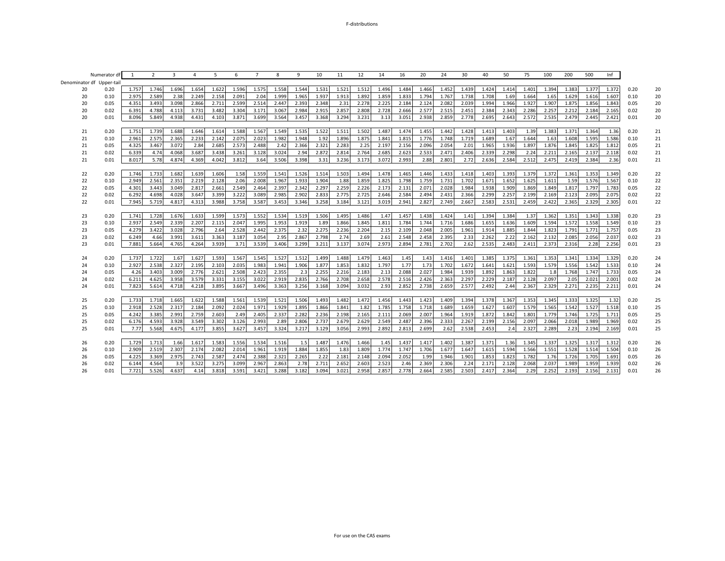#### F-distributions

|    | Numerator d               | -1                | 2     | 3     | 4     | -5    | 6     | 7     | 8     | 9     | 10    | 11    | 12    | 14    | 16    | 20    | 24    | 30    | 40    | 50    | 75    | 100   | 200   | 500   | Inf   |      |    |
|----|---------------------------|-------------------|-------|-------|-------|-------|-------|-------|-------|-------|-------|-------|-------|-------|-------|-------|-------|-------|-------|-------|-------|-------|-------|-------|-------|------|----|
|    | Denominator df Upper-tail |                   |       |       |       |       |       |       |       |       |       |       |       |       |       |       |       |       |       |       |       |       |       |       |       |      |    |
| 20 | 0.20                      | 1.757             | 1.746 | 1.696 | 1.654 | 1.622 | 1.596 | 1.575 | 1.558 | 1.544 | 1.531 | 1.521 | 1.512 | 1.496 | 1.484 | 1.466 | 1.452 | 1.439 | 1.424 | 1.414 | 1.401 | 1.394 | 1.383 | 1.377 | 1.372 | 0.20 | 20 |
| 20 | 0.10                      | 2.975             | 2.589 | 2.38  | 2.249 | 2.158 | 2.091 | 2.04  | 1.999 | 1.965 | 1.937 | 1.913 | 1.892 | 1.859 | 1.833 | 1.794 | 1.767 | 1.738 | 1.708 | 1.69  | 1.664 | 1.65  | 1.629 | 1.616 | 1.607 | 0.10 | 20 |
| 20 | 0.05                      | 4.351             | 3.493 | 3.098 | 2.866 | 2.711 | 2.599 | 2.514 | 2.447 | 2.393 | 2.348 | 2.31  | 2.278 | 2.225 | 2.184 | 2.124 | 2.082 | 2.039 | 1.994 | 1.966 | 1.927 | 1.907 | 1.875 | 1.856 | 1.843 | 0.05 | 20 |
| 20 | 0.02                      | 6.391             | 4.788 | 4.113 | 3.731 | 3.482 | 3.304 | 3.171 | 3.067 | 2.984 | 2.915 | 2.857 | 2.808 | 2.728 | 2.666 | 2.577 | 2.515 | 2.451 | 2.384 | 2.343 | 2.286 | 2.257 | 2.212 | 2.184 | 2.165 | 0.02 | 20 |
| 20 | 0.01                      | 8.096             | 5.849 | 4.938 | 4.431 | 4.103 | 3.871 | 3.699 | 3.564 | 3.457 | 3.368 | 3.294 | 3.231 | 3.13  | 3.051 | 2.938 | 2.859 | 2.778 | 2.695 | 2.643 | 2.572 | 2.535 | 2.479 | 2.445 | 2.421 | 0.01 | 20 |
|    |                           |                   |       |       |       |       |       |       |       |       |       |       |       |       |       |       |       |       |       |       |       |       |       |       |       |      |    |
| 21 | 0.20                      | 1.751             | 1.739 | 1.688 | 1.646 | 1.614 | 1.588 | 1.567 | 1.549 | 1.535 | 1.522 | 1.511 | 1.502 | 1.487 | 1.474 | 1.455 | 1.442 | 1.428 | 1.413 | 1.403 | 1.39  | 1.383 | 1.371 | 1.364 | 1.36  | 0.20 | 21 |
| 21 | 0.10                      | 2.96              | 2.575 | 2.365 | 2.233 | 2.142 | 2.075 | 2.023 | 1.982 | 1.948 | 1.92  | 1.896 | 1.875 | 1.84  | 1.815 | 1.776 | 1.748 | 1.719 | 1.689 | 1.67  | 1.644 | 1.63  | 1.608 | 1.595 | 1.586 | 0.10 | 21 |
| 21 | 0.05                      | 4.325             | 3.467 | 3.072 | 2.84  | 2.685 | 2.573 | 2.488 | 2.42  | 2.366 | 2.321 | 2.283 | 2.25  | 2.197 | 2.156 | 2.096 | 2.054 | 2.01  | 1.965 | 1.936 | 1.897 | 1.876 | 1.845 | 1.825 | 1.812 | 0.05 | 21 |
| 21 | 0.02                      | 6.339             | 4.74  | 4.068 | 3.687 | 3.438 | 3.261 | 3.128 | 3.024 | 2.94  | 2.872 | 2.814 | 2.764 | 2.685 | 2.623 | 2.533 | 2.471 | 2.406 | 2.339 | 2.298 | 2.24  | 2.211 | 2.165 | 2.137 | 2.118 | 0.02 | 21 |
| 21 | 0.01                      | 8.017             | 5.78  | 4.874 | 4.369 | 4.042 | 3.812 | 3.64  | 3.506 | 3.398 | 3.31  | 3.236 | 3.173 | 3.072 | 2.993 | 2.88  | 2.801 | 2.72  | 2.636 | 2.584 | 2.512 | 2.475 | 2.419 | 2.384 | 2.36  | 0.01 | 21 |
|    |                           |                   |       |       |       |       |       |       |       |       |       |       |       |       |       |       |       |       |       |       |       |       |       |       |       |      |    |
| 22 | 0.20                      | 1.746             | 1.733 | 1.682 | 1.639 | 1.606 | 1.58  | 1.559 | 1.541 | 1.526 | 1.514 | 1.503 | 1.494 | 1.478 | 1.465 | 1.446 | 1.433 | 1.418 | 1.403 | 1.393 | 1.379 | 1.372 | 1.361 | 1.353 | 1.349 | 0.20 | 22 |
| 22 | 0.10                      | 2.949             | 2.561 | 2.351 | 2.219 | 2.128 | 2.06  | 2.008 | 1.967 | 1.933 | 1.904 | 1.88  | 1.859 | 1.825 | 1.798 | 1.759 | 1.731 | 1.702 | 1.671 | 1.652 | 1.625 | 1.611 | 1.59  | 1.576 | 1.567 | 0.10 | 22 |
| 22 | 0.05                      | 4.30 <sup>°</sup> | 3.443 | 3.049 | 2.817 | 2.661 | 2.549 | 2.464 | 2.397 | 2.342 | 2.297 | 2.259 | 2.226 | 2.173 | 2.131 | 2.071 | 2.028 | 1.984 | 1.938 | 1.909 | 1.869 | 1.849 | 1.817 | 1.797 | 1.783 | 0.05 | 22 |
| 22 | 0.02                      | 6.292             | 4.698 | 4.028 | 3.647 | 3.399 | 3.222 | 3.089 | 2.985 | 2.902 | 2.833 | 2.775 | 2.725 | 2.646 | 2.584 | 2.494 | 2.431 | 2.366 | 2.299 | 2.257 | 2.199 | 2.169 | 2.123 | 2.095 | 2.075 | 0.02 | 22 |
| 22 | 0.01                      | 7.945             | 5.719 | 4.817 | 4.313 | 3.988 | 3.758 | 3.587 | 3.453 | 3.346 | 3.258 | 3.184 | 3.121 | 3.019 | 2.941 | 2.827 | 2.749 | 2.667 | 2.583 | 2.531 | 2.459 | 2.422 | 2.365 | 2.329 | 2.305 | 0.01 | 22 |
|    |                           |                   |       |       |       |       |       |       |       |       |       |       |       |       |       |       |       |       |       |       |       |       |       |       |       |      |    |
| 23 | 0.20                      | 1.741             | 1.728 | 1.676 | 1.633 | 1.599 | 1.573 | 1.552 | 1.534 | 1.519 | 1.506 | 1.495 | 1.486 | 1.47  | 1.457 | 1.438 | 1.424 | 1.41  | 1.394 | 1.384 | 1.37  | 1.362 | 1.351 | 1.343 | 1.338 | 0.20 | 23 |
| 23 | 0.10                      | 2.937             | 2.549 | 2.339 | 2.207 | 2.115 | 2.047 | 1.995 | 1.953 | 1.919 | 1.89  | 1.866 | 1.845 | 1.811 | 1.784 | 1.744 | 1.716 | 1.686 | 1.655 | 1.636 | 1.609 | 1.594 | 1.572 | 1.558 | 1.549 | 0.10 | 23 |
| 23 | 0.05                      | 4.279             | 3.422 | 3.028 | 2.796 | 2.64  | 2.528 | 2.442 | 2.375 | 2.32  | 2.275 | 2.236 | 2.204 | 2.15  | 2.109 | 2.048 | 2.005 | 1.961 | 1.914 | 1.885 | 1.844 | 1.823 | 1.791 | 1.771 | 1.757 | 0.05 | 23 |
| 23 | 0.02                      | 6.249             | 4.66  | 3.991 | 3.611 | 3.363 | 3.187 | 3.054 | 2.95  | 2.867 | 2.798 | 2.74  | 2.69  | 2.61  | 2.548 | 2.458 | 2.395 | 2.33  | 2.262 | 2.22  | 2.162 | 2.132 | 2.085 | 2.056 | 2.037 | 0.02 | 23 |
| 23 | 0.01                      | 7.881             | 5.664 | 4.765 | 4.264 | 3.939 | 3.71  | 3.539 | 3.406 | 3.299 | 3.211 | 3.137 | 3.074 | 2.973 | 2.894 | 2.781 | 2.702 | 2.62  | 2.535 | 2.483 | 2.411 | 2.373 | 2.316 | 2.28  | 2.256 | 0.01 | 23 |
|    |                           |                   |       |       |       |       |       |       |       |       |       |       |       |       |       |       |       |       |       |       |       |       |       |       |       |      |    |
| 24 | 0.20                      | 1.737             | 1.722 | 1.67  | 1.627 | 1.593 | 1.567 | 1.545 | 1.527 | 1.512 | 1.499 | 1.488 | 1.479 | 1.463 | 1.45  | 1.43  | 1.416 | 1.401 | 1.385 | 1.375 | 1.361 | 1.353 | 1.341 | 1.334 | 1.329 | 0.20 | 24 |
| 24 | 0.10                      | 2.927             | 2.538 | 2.327 | 2.195 | 2.103 | 2.035 | 1.983 | 1.941 | 1.906 | 1.877 | 1.853 | 1.832 | 1.797 | 1.77  | 1.73  | 1.702 | 1.672 | 1.641 | 1.621 | 1.593 | 1.579 | 1.556 | 1.542 | 1.533 | 0.10 | 24 |
| 24 | 0.05                      | 4.26              | 3.403 | 3.009 | 2.776 | 2.621 | 2.508 | 2.423 | 2.355 | 2.3   | 2.255 | 2.216 | 2.183 | 2.13  | 2.088 | 2.027 | 1.984 | 1.939 | 1.892 | 1.863 | 1.822 | 1.8   | 1.768 | 1.747 | 1.733 | 0.05 | 24 |
| 24 | 0.02                      | 6.211             | 4.625 | 3.958 | 3.579 | 3.331 | 3.155 | 3.022 | 2.919 | 2.835 | 2.766 | 2.708 | 2.658 | 2.578 | 2.516 | 2.426 | 2.363 | 2.297 | 2.229 | 2.187 | 2.128 | 2.097 | 2.05  | 2.021 | 2.001 | 0.02 | 24 |
| 24 | 0.01                      | 7.823             | 5.614 | 4.718 | 4.218 | 3.895 | 3.667 | 3.496 | 3.363 | 3.256 | 3.168 | 3.094 | 3.032 | 2.93  | 2.852 | 2.738 | 2.659 | 2.577 | 2.492 | 2.44  | 2.367 | 2.329 | 2.271 | 2.235 | 2.211 | 0.01 | 24 |
|    |                           |                   |       |       |       |       |       |       |       |       |       |       |       |       |       |       |       |       |       |       |       |       |       |       |       |      |    |
| 25 | 0.20                      | 1.733             | 1.718 | 1.665 | 1.622 | 1.588 | 1.561 | 1.539 | 1.521 | 1.506 | 1.493 | 1.482 | 1.472 | 1.456 | 1.443 | 1.423 | 1.409 | 1.394 | 1.378 | 1.367 | 1.353 | 1.345 | 1.333 | 1.325 | 1.32  | 0.20 | 25 |
| 25 | 0.10                      | 2.918             | 2.528 | 2.317 | 2.184 | 2.092 | 2.024 | 1.971 | 1.929 | 1.895 | 1.866 | 1.841 | 1.82  | 1.785 | 1.758 | 1.718 | 1.689 | 1.659 | 1.627 | 1.607 | 1.579 | 1.565 | 1.542 | 1.527 | 1.518 | 0.10 | 25 |
| 25 | 0.05                      | 4.242             | 3.385 | 2.991 | 2.759 | 2.603 | 2.49  | 2.405 | 2.337 | 2.282 | 2.236 | 2.198 | 2.165 | 2.111 | 2.069 | 2.007 | 1.964 | 1.919 | 1.872 | 1.842 | 1.801 | 1.779 | 1.746 | 1.725 | 1.711 | 0.05 | 25 |
| 25 | 0.02                      | 6.176             | 4.593 | 3.928 | 3.549 | 3.302 | 3.126 | 2.993 | 2.89  | 2.806 | 2.737 | 2.679 | 2.629 | 2.549 | 2.487 | 2.396 | 2.333 | 2.267 | 2.199 | 2.156 | 2.097 | 2.066 | 2.018 | 1.989 | 1.969 | 0.02 | 25 |
| 25 | 0.01                      | 7.77              | 5.568 | 4.675 | 4.177 | 3.855 | 3.627 | 3.457 | 3.324 | 3.217 | 3.129 | 3.056 | 2.993 | 2.892 | 2.813 | 2.699 | 2.62  | 2.538 | 2.453 | 2.4   | 2.327 | 2.289 | 2.23  | 2.194 | 2.169 | 0.01 | 25 |
|    |                           |                   |       |       |       |       |       |       |       |       |       |       |       |       |       |       |       |       |       |       |       |       |       |       |       |      |    |
| 26 | 0.20                      | 1.729             | 1.713 | 1.66  | 1.617 | 1.583 | 1.556 | 1.534 | 1.516 | 1.5   | 1.487 | 1.476 | 1.466 | 1.45  | 1.437 | 1.417 | 1.402 | 1.387 | 1.371 | 1.36  | 1.345 | 1.337 | 1.325 | 1.317 | 1.312 | 0.20 | 26 |
| 26 | 0.10                      | 2.909             | 2.519 | 2.307 | 2.174 | 2.082 | 2.014 | 1.961 | 1.919 | 1.884 | 1.855 | 1.83  | 1.809 | 1.774 | 1.747 | 1.706 | 1.677 | 1.647 | 1.615 | 1.594 | 1.566 | 1.551 | 1.528 | 1.514 | 1.504 | 0.10 | 26 |
| 26 | 0.05                      | 4.225             | 3.369 | 2.975 | 2.743 | 2.587 | 2.474 | 2.388 | 2.321 | 2.265 | 2.22  | 2.181 | 2.148 | 2.094 | 2.052 | 1.99  | 1.946 | 1.901 | 1.853 | 1.823 | 1.782 | 1.76  | 1.726 | 1.705 | 1.691 | 0.05 | 26 |
| 26 | 0.02                      | 6.144             | 4.564 | 3.9   | 3.522 | 3.275 | 3.099 | 2.967 | 2.863 | 2.78  | 2.711 | 2.652 | 2.603 | 2.523 | 2.46  | 2.369 | 2.306 | 2.24  | 2.171 | 2.128 | 2.068 | 2.037 | 1.989 | 1.959 | 1.939 | 0.02 | 26 |
| 26 | 0.01                      | 7.721             | 5.526 | 4.637 | 4.14  | 3.818 | 3.591 | 3.421 | 3.288 | 3.182 | 3.094 | 3.021 | 2.958 | 2.857 | 2.778 | 2.664 | 2.585 | 2.503 | 2.417 | 2.364 | 2.29  | 2.252 | 2.193 | 2.156 | 2.131 | 0.01 | 26 |